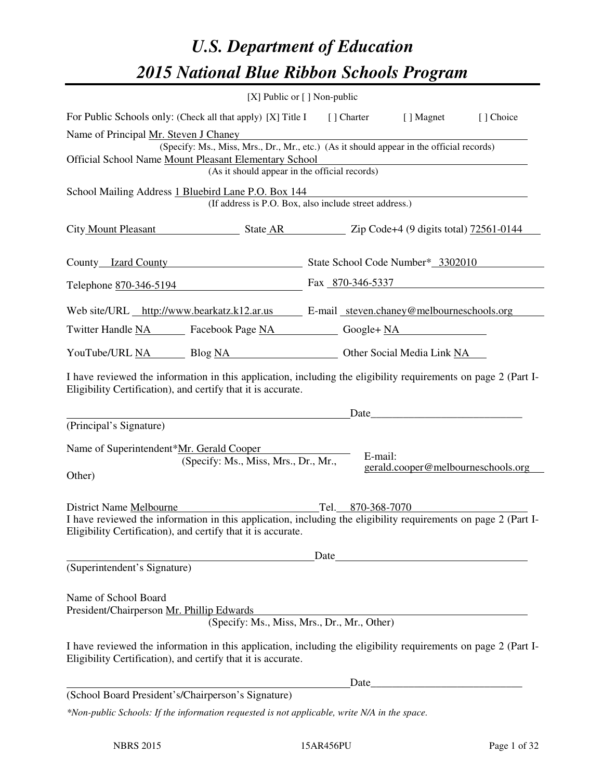# *U.S. Department of Education 2015 National Blue Ribbon Schools Program*

|                                                                                                                                                                                                                                             | [X] Public or [] Non-public                            |         |                                    |           |  |
|---------------------------------------------------------------------------------------------------------------------------------------------------------------------------------------------------------------------------------------------|--------------------------------------------------------|---------|------------------------------------|-----------|--|
| For Public Schools only: (Check all that apply) [X] Title I                                                                                                                                                                                 |                                                        |         | [] Charter [] Magnet               | [] Choice |  |
| Name of Principal Mr. Steven J Chaney<br>(Specify: Ms., Miss, Mrs., Dr., Mr., etc.) (As it should appear in the official records)<br>Official School Name Mount Pleasant Elementary School<br>(As it should appear in the official records) |                                                        |         |                                    |           |  |
| School Mailing Address 1 Bluebird Lane P.O. Box 144                                                                                                                                                                                         | (If address is P.O. Box, also include street address.) |         |                                    |           |  |
| City Mount Pleasant State AR Zip Code+4 (9 digits total) 72561-0144                                                                                                                                                                         |                                                        |         |                                    |           |  |
| County Izard County State School Code Number* 3302010                                                                                                                                                                                       |                                                        |         |                                    |           |  |
| Telephone 870-346-5194 Fax 870-346-5337                                                                                                                                                                                                     |                                                        |         |                                    |           |  |
| Web site/URL http://www.bearkatz.k12.ar.us E-mail steven.chaney@melbourneschools.org                                                                                                                                                        |                                                        |         |                                    |           |  |
| Twitter Handle NA Facebook Page NA Google+ NA                                                                                                                                                                                               |                                                        |         |                                    |           |  |
| YouTube/URL NA Blog NA Other Social Media Link NA                                                                                                                                                                                           |                                                        |         |                                    |           |  |
| I have reviewed the information in this application, including the eligibility requirements on page 2 (Part I-<br>Eligibility Certification), and certify that it is accurate.                                                              |                                                        |         |                                    |           |  |
| (Principal's Signature)                                                                                                                                                                                                                     |                                                        |         |                                    |           |  |
| Name of Superintendent*Mr. Gerald Cooper<br>(Specify: Ms., Miss, Mrs., Dr., Mr.,<br>Other)                                                                                                                                                  |                                                        | E-mail: | gerald.cooper@melbourneschools.org |           |  |
| District Name Melbourne<br>Tel. 870-368-7070<br>I have reviewed the information in this application, including the eligibility requirements on page 2 (Part I-<br>Eligibility Certification), and certify that it is accurate.              |                                                        |         |                                    |           |  |
| Date                                                                                                                                                                                                                                        |                                                        |         |                                    |           |  |
| (Superintendent's Signature)                                                                                                                                                                                                                |                                                        |         |                                    |           |  |
| Name of School Board<br>President/Chairperson Mr. Phillip Edwards                                                                                                                                                                           | (Specify: Ms., Miss, Mrs., Dr., Mr., Other)            |         |                                    |           |  |
| I have reviewed the information in this application, including the eligibility requirements on page 2 (Part I-<br>Eligibility Certification), and certify that it is accurate.                                                              |                                                        |         |                                    |           |  |
|                                                                                                                                                                                                                                             |                                                        |         |                                    |           |  |
| (School Board President's/Chairperson's Signature)                                                                                                                                                                                          |                                                        |         |                                    |           |  |
| *Non-public Schools: If the information requested is not applicable, write N/A in the space.                                                                                                                                                |                                                        |         |                                    |           |  |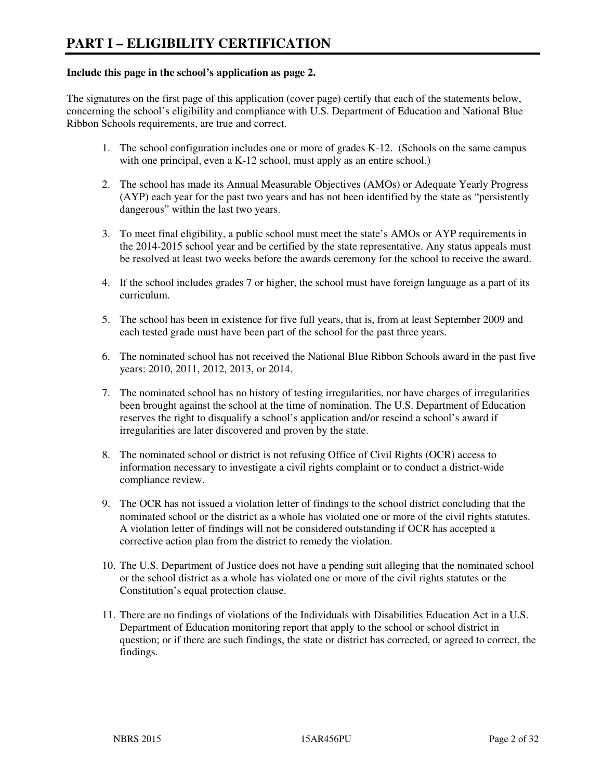#### **Include this page in the school's application as page 2.**

The signatures on the first page of this application (cover page) certify that each of the statements below, concerning the school's eligibility and compliance with U.S. Department of Education and National Blue Ribbon Schools requirements, are true and correct.

- 1. The school configuration includes one or more of grades K-12. (Schools on the same campus with one principal, even a K-12 school, must apply as an entire school.)
- 2. The school has made its Annual Measurable Objectives (AMOs) or Adequate Yearly Progress (AYP) each year for the past two years and has not been identified by the state as "persistently dangerous" within the last two years.
- 3. To meet final eligibility, a public school must meet the state's AMOs or AYP requirements in the 2014-2015 school year and be certified by the state representative. Any status appeals must be resolved at least two weeks before the awards ceremony for the school to receive the award.
- 4. If the school includes grades 7 or higher, the school must have foreign language as a part of its curriculum.
- 5. The school has been in existence for five full years, that is, from at least September 2009 and each tested grade must have been part of the school for the past three years.
- 6. The nominated school has not received the National Blue Ribbon Schools award in the past five years: 2010, 2011, 2012, 2013, or 2014.
- 7. The nominated school has no history of testing irregularities, nor have charges of irregularities been brought against the school at the time of nomination. The U.S. Department of Education reserves the right to disqualify a school's application and/or rescind a school's award if irregularities are later discovered and proven by the state.
- 8. The nominated school or district is not refusing Office of Civil Rights (OCR) access to information necessary to investigate a civil rights complaint or to conduct a district-wide compliance review.
- 9. The OCR has not issued a violation letter of findings to the school district concluding that the nominated school or the district as a whole has violated one or more of the civil rights statutes. A violation letter of findings will not be considered outstanding if OCR has accepted a corrective action plan from the district to remedy the violation.
- 10. The U.S. Department of Justice does not have a pending suit alleging that the nominated school or the school district as a whole has violated one or more of the civil rights statutes or the Constitution's equal protection clause.
- 11. There are no findings of violations of the Individuals with Disabilities Education Act in a U.S. Department of Education monitoring report that apply to the school or school district in question; or if there are such findings, the state or district has corrected, or agreed to correct, the findings.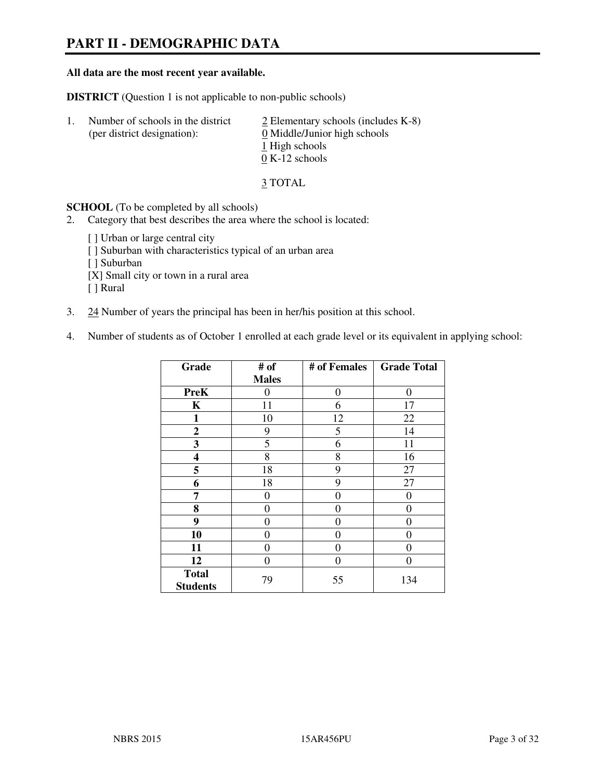# **PART II - DEMOGRAPHIC DATA**

#### **All data are the most recent year available.**

**DISTRICT** (Question 1 is not applicable to non-public schools)

| -1. | Number of schools in the district<br>(per district designation): | $\angle$ Elementary schools (includes K-8)<br>0 Middle/Junior high schools<br>1 High schools<br>$0 K-12$ schools |
|-----|------------------------------------------------------------------|------------------------------------------------------------------------------------------------------------------|
|     |                                                                  |                                                                                                                  |

3 TOTAL

**SCHOOL** (To be completed by all schools)

- 2. Category that best describes the area where the school is located:
	- [ ] Urban or large central city [ ] Suburban with characteristics typical of an urban area [ ] Suburban [X] Small city or town in a rural area [ ] Rural
- 3. 24 Number of years the principal has been in her/his position at this school.
- 4. Number of students as of October 1 enrolled at each grade level or its equivalent in applying school:

| Grade                           | # of         | # of Females | <b>Grade Total</b> |
|---------------------------------|--------------|--------------|--------------------|
|                                 | <b>Males</b> |              |                    |
| <b>PreK</b>                     | 0            | 0            | $\theta$           |
| K                               | 11           | 6            | 17                 |
| 1                               | 10           | 12           | 22                 |
| $\mathbf{2}$                    | 9            | 5            | 14                 |
| 3                               | 5            | 6            | 11                 |
| 4                               | 8            | 8            | 16                 |
| 5                               | 18           | 9            | 27                 |
| 6                               | 18           | 9            | 27                 |
| 7                               | 0            | $\theta$     | $\theta$           |
| 8                               | 0            | 0            | 0                  |
| 9                               | 0            | 0            | 0                  |
| 10                              | 0            | 0            | 0                  |
| 11                              | 0            | 0            | $\theta$           |
| 12                              | 0            | 0            | $\theta$           |
| <b>Total</b><br><b>Students</b> | 79           | 55           | 134                |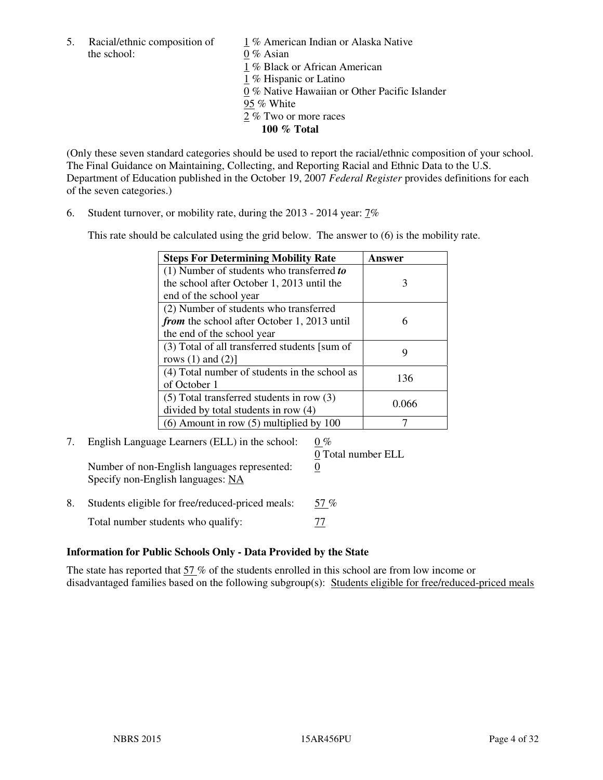5. Racial/ethnic composition of  $1\%$  American Indian or Alaska Native the school: 0 % Asian

 1 % Black or African American 1 % Hispanic or Latino 0 % Native Hawaiian or Other Pacific Islander 95 % White 2 % Two or more races **100 % Total** 

(Only these seven standard categories should be used to report the racial/ethnic composition of your school. The Final Guidance on Maintaining, Collecting, and Reporting Racial and Ethnic Data to the U.S. Department of Education published in the October 19, 2007 *Federal Register* provides definitions for each of the seven categories.)

6. Student turnover, or mobility rate, during the 2013 - 2014 year: 7%

This rate should be calculated using the grid below. The answer to (6) is the mobility rate.

| <b>Steps For Determining Mobility Rate</b>         | Answer |
|----------------------------------------------------|--------|
| $(1)$ Number of students who transferred to        |        |
| the school after October 1, 2013 until the         | 3      |
| end of the school year                             |        |
| (2) Number of students who transferred             |        |
| <i>from</i> the school after October 1, 2013 until | 6      |
| the end of the school year                         |        |
| (3) Total of all transferred students [sum of      | 9      |
| rows $(1)$ and $(2)$ ]                             |        |
| (4) Total number of students in the school as      | 136    |
| of October 1                                       |        |
| $(5)$ Total transferred students in row $(3)$      | 0.066  |
| divided by total students in row (4)               |        |
| $(6)$ Amount in row $(5)$ multiplied by 100        |        |

#### 7. English Language Learners (ELL) in the school:  $0\%$  0 Total number ELL Number of non-English languages represented: 0 Specify non-English languages: NA

8. Students eligible for free/reduced-priced meals: 57 % Total number students who qualify:  $\frac{77}{2}$ 

#### **Information for Public Schools Only - Data Provided by the State**

The state has reported that  $57\%$  of the students enrolled in this school are from low income or disadvantaged families based on the following subgroup(s): Students eligible for free/reduced-priced meals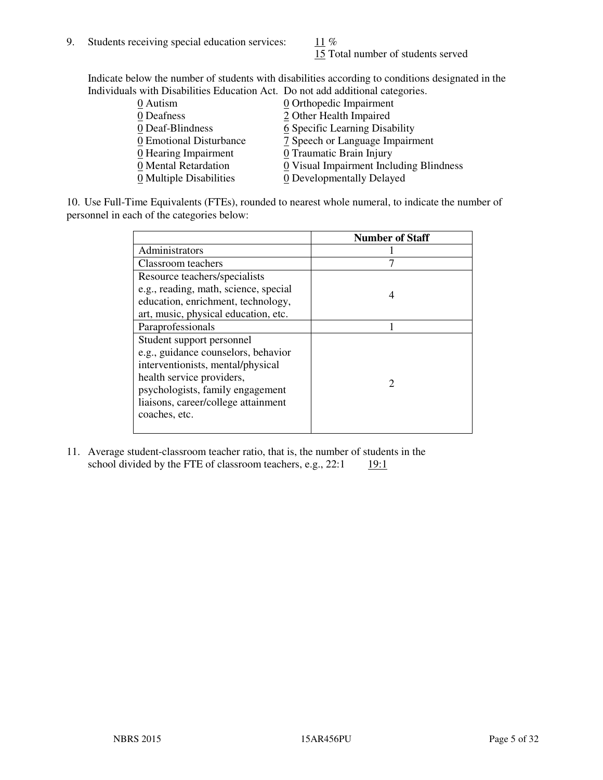15 Total number of students served

Indicate below the number of students with disabilities according to conditions designated in the Individuals with Disabilities Education Act. Do not add additional categories.

| THE LEW CONSTRUCTION OF THE CONSTRUCTION OF THE CONSTRUCTION OF A LOCAL CONSTRUCTION OF A CONSTRUCTION OF THE CONSTRUCTION OF THE CONSTRUCTION OF THE CONSTRUCTION OF THE CONSTRUCTION OF THE CONSTRUCTION OF THE CONSTRUCTIO |                                         |
|-------------------------------------------------------------------------------------------------------------------------------------------------------------------------------------------------------------------------------|-----------------------------------------|
| 0 Autism                                                                                                                                                                                                                      | $\underline{0}$ Orthopedic Impairment   |
| 0 Deafness                                                                                                                                                                                                                    | 2 Other Health Impaired                 |
| 0 Deaf-Blindness                                                                                                                                                                                                              | 6 Specific Learning Disability          |
| 0 Emotional Disturbance                                                                                                                                                                                                       | 7 Speech or Language Impairment         |
| $\underline{0}$ Hearing Impairment                                                                                                                                                                                            | 0 Traumatic Brain Injury                |
| 0 Mental Retardation                                                                                                                                                                                                          | 0 Visual Impairment Including Blindness |
| 0 Multiple Disabilities                                                                                                                                                                                                       | 0 Developmentally Delayed               |
|                                                                                                                                                                                                                               |                                         |

10. Use Full-Time Equivalents (FTEs), rounded to nearest whole numeral, to indicate the number of personnel in each of the categories below:

|                                       | <b>Number of Staff</b> |
|---------------------------------------|------------------------|
| Administrators                        |                        |
| Classroom teachers                    |                        |
| Resource teachers/specialists         |                        |
| e.g., reading, math, science, special | 4                      |
| education, enrichment, technology,    |                        |
| art, music, physical education, etc.  |                        |
| Paraprofessionals                     |                        |
| Student support personnel             |                        |
| e.g., guidance counselors, behavior   |                        |
| interventionists, mental/physical     |                        |
| health service providers,             |                        |
| psychologists, family engagement      |                        |
| liaisons, career/college attainment   |                        |
| coaches, etc.                         |                        |
|                                       |                        |

11. Average student-classroom teacher ratio, that is, the number of students in the school divided by the FTE of classroom teachers, e.g.,  $22:1$  19:1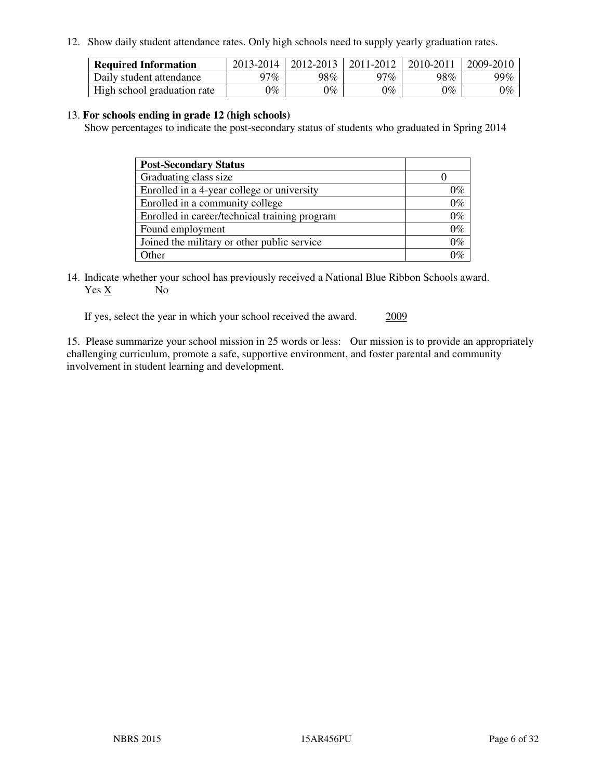12. Show daily student attendance rates. Only high schools need to supply yearly graduation rates.

| <b>Required Information</b> | 2013-2014 | 2012-2013 | 2011-2012 | 2010-2011 | 2009-2010 |
|-----------------------------|-----------|-----------|-----------|-----------|-----------|
| Daily student attendance    | າ $7\%$   | 98%       | 97%       | 98%       | 99%       |
| High school graduation rate | 9%        | $0\%$     | $0\%$     | 0%        | $0\%$     |

#### 13. **For schools ending in grade 12 (high schools)**

Show percentages to indicate the post-secondary status of students who graduated in Spring 2014

| <b>Post-Secondary Status</b>                  |       |
|-----------------------------------------------|-------|
| Graduating class size                         |       |
| Enrolled in a 4-year college or university    | 0%    |
| Enrolled in a community college               | $0\%$ |
| Enrolled in career/technical training program | $0\%$ |
| Found employment                              | $0\%$ |
| Joined the military or other public service   | $0\%$ |
| Other                                         | ገማ    |

14. Indicate whether your school has previously received a National Blue Ribbon Schools award. Yes X No

If yes, select the year in which your school received the award. 2009

15. Please summarize your school mission in 25 words or less: Our mission is to provide an appropriately challenging curriculum, promote a safe, supportive environment, and foster parental and community involvement in student learning and development.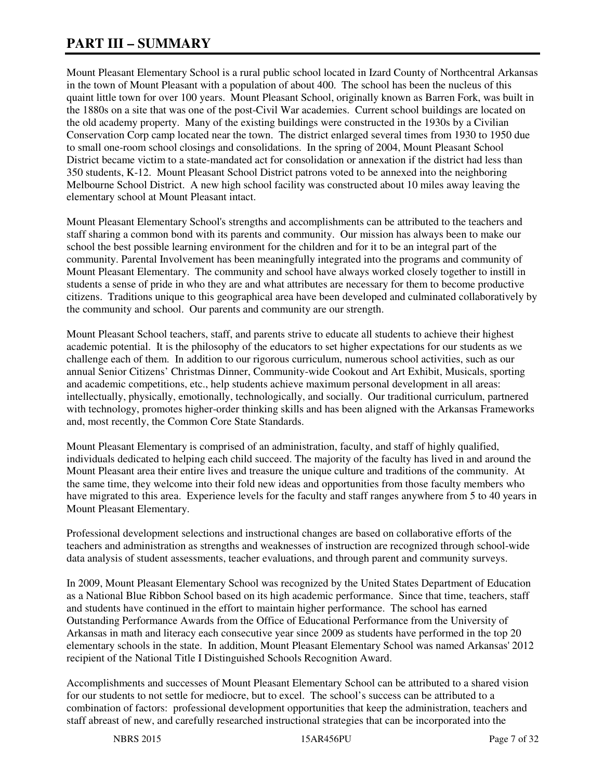# **PART III – SUMMARY**

Mount Pleasant Elementary School is a rural public school located in Izard County of Northcentral Arkansas in the town of Mount Pleasant with a population of about 400. The school has been the nucleus of this quaint little town for over 100 years. Mount Pleasant School, originally known as Barren Fork, was built in the 1880s on a site that was one of the post-Civil War academies. Current school buildings are located on the old academy property. Many of the existing buildings were constructed in the 1930s by a Civilian Conservation Corp camp located near the town. The district enlarged several times from 1930 to 1950 due to small one-room school closings and consolidations. In the spring of 2004, Mount Pleasant School District became victim to a state-mandated act for consolidation or annexation if the district had less than 350 students, K-12. Mount Pleasant School District patrons voted to be annexed into the neighboring Melbourne School District. A new high school facility was constructed about 10 miles away leaving the elementary school at Mount Pleasant intact.

Mount Pleasant Elementary School's strengths and accomplishments can be attributed to the teachers and staff sharing a common bond with its parents and community. Our mission has always been to make our school the best possible learning environment for the children and for it to be an integral part of the community. Parental Involvement has been meaningfully integrated into the programs and community of Mount Pleasant Elementary. The community and school have always worked closely together to instill in students a sense of pride in who they are and what attributes are necessary for them to become productive citizens. Traditions unique to this geographical area have been developed and culminated collaboratively by the community and school. Our parents and community are our strength.

Mount Pleasant School teachers, staff, and parents strive to educate all students to achieve their highest academic potential. It is the philosophy of the educators to set higher expectations for our students as we challenge each of them. In addition to our rigorous curriculum, numerous school activities, such as our annual Senior Citizens' Christmas Dinner, Community-wide Cookout and Art Exhibit, Musicals, sporting and academic competitions, etc., help students achieve maximum personal development in all areas: intellectually, physically, emotionally, technologically, and socially. Our traditional curriculum, partnered with technology, promotes higher-order thinking skills and has been aligned with the Arkansas Frameworks and, most recently, the Common Core State Standards.

Mount Pleasant Elementary is comprised of an administration, faculty, and staff of highly qualified, individuals dedicated to helping each child succeed. The majority of the faculty has lived in and around the Mount Pleasant area their entire lives and treasure the unique culture and traditions of the community. At the same time, they welcome into their fold new ideas and opportunities from those faculty members who have migrated to this area. Experience levels for the faculty and staff ranges anywhere from 5 to 40 years in Mount Pleasant Elementary.

Professional development selections and instructional changes are based on collaborative efforts of the teachers and administration as strengths and weaknesses of instruction are recognized through school-wide data analysis of student assessments, teacher evaluations, and through parent and community surveys.

In 2009, Mount Pleasant Elementary School was recognized by the United States Department of Education as a National Blue Ribbon School based on its high academic performance. Since that time, teachers, staff and students have continued in the effort to maintain higher performance. The school has earned Outstanding Performance Awards from the Office of Educational Performance from the University of Arkansas in math and literacy each consecutive year since 2009 as students have performed in the top 20 elementary schools in the state. In addition, Mount Pleasant Elementary School was named Arkansas' 2012 recipient of the National Title I Distinguished Schools Recognition Award.

Accomplishments and successes of Mount Pleasant Elementary School can be attributed to a shared vision for our students to not settle for mediocre, but to excel. The school's success can be attributed to a combination of factors: professional development opportunities that keep the administration, teachers and staff abreast of new, and carefully researched instructional strategies that can be incorporated into the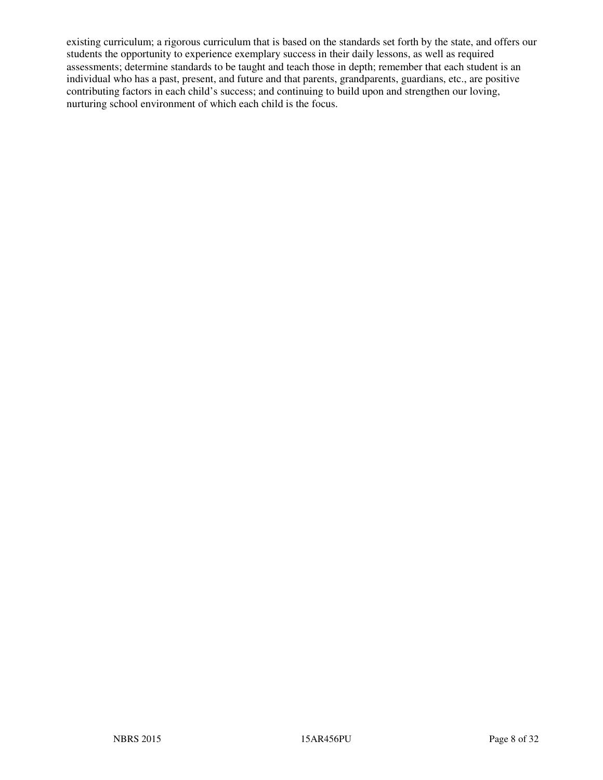existing curriculum; a rigorous curriculum that is based on the standards set forth by the state, and offers our students the opportunity to experience exemplary success in their daily lessons, as well as required assessments; determine standards to be taught and teach those in depth; remember that each student is an individual who has a past, present, and future and that parents, grandparents, guardians, etc., are positive contributing factors in each child's success; and continuing to build upon and strengthen our loving, nurturing school environment of which each child is the focus.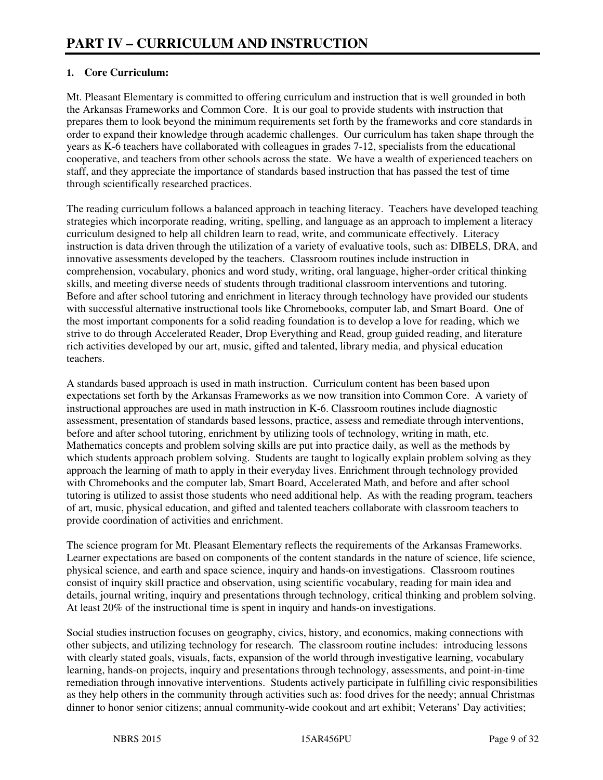#### **1. Core Curriculum:**

Mt. Pleasant Elementary is committed to offering curriculum and instruction that is well grounded in both the Arkansas Frameworks and Common Core. It is our goal to provide students with instruction that prepares them to look beyond the minimum requirements set forth by the frameworks and core standards in order to expand their knowledge through academic challenges. Our curriculum has taken shape through the years as K-6 teachers have collaborated with colleagues in grades 7-12, specialists from the educational cooperative, and teachers from other schools across the state. We have a wealth of experienced teachers on staff, and they appreciate the importance of standards based instruction that has passed the test of time through scientifically researched practices.

The reading curriculum follows a balanced approach in teaching literacy. Teachers have developed teaching strategies which incorporate reading, writing, spelling, and language as an approach to implement a literacy curriculum designed to help all children learn to read, write, and communicate effectively. Literacy instruction is data driven through the utilization of a variety of evaluative tools, such as: DIBELS, DRA, and innovative assessments developed by the teachers. Classroom routines include instruction in comprehension, vocabulary, phonics and word study, writing, oral language, higher-order critical thinking skills, and meeting diverse needs of students through traditional classroom interventions and tutoring. Before and after school tutoring and enrichment in literacy through technology have provided our students with successful alternative instructional tools like Chromebooks, computer lab, and Smart Board. One of the most important components for a solid reading foundation is to develop a love for reading, which we strive to do through Accelerated Reader, Drop Everything and Read, group guided reading, and literature rich activities developed by our art, music, gifted and talented, library media, and physical education teachers.

A standards based approach is used in math instruction. Curriculum content has been based upon expectations set forth by the Arkansas Frameworks as we now transition into Common Core. A variety of instructional approaches are used in math instruction in K-6. Classroom routines include diagnostic assessment, presentation of standards based lessons, practice, assess and remediate through interventions, before and after school tutoring, enrichment by utilizing tools of technology, writing in math, etc. Mathematics concepts and problem solving skills are put into practice daily, as well as the methods by which students approach problem solving. Students are taught to logically explain problem solving as they approach the learning of math to apply in their everyday lives. Enrichment through technology provided with Chromebooks and the computer lab, Smart Board, Accelerated Math, and before and after school tutoring is utilized to assist those students who need additional help. As with the reading program, teachers of art, music, physical education, and gifted and talented teachers collaborate with classroom teachers to provide coordination of activities and enrichment.

The science program for Mt. Pleasant Elementary reflects the requirements of the Arkansas Frameworks. Learner expectations are based on components of the content standards in the nature of science, life science, physical science, and earth and space science, inquiry and hands-on investigations. Classroom routines consist of inquiry skill practice and observation, using scientific vocabulary, reading for main idea and details, journal writing, inquiry and presentations through technology, critical thinking and problem solving. At least 20% of the instructional time is spent in inquiry and hands-on investigations.

Social studies instruction focuses on geography, civics, history, and economics, making connections with other subjects, and utilizing technology for research. The classroom routine includes: introducing lessons with clearly stated goals, visuals, facts, expansion of the world through investigative learning, vocabulary learning, hands-on projects, inquiry and presentations through technology, assessments, and point-in-time remediation through innovative interventions. Students actively participate in fulfilling civic responsibilities as they help others in the community through activities such as: food drives for the needy; annual Christmas dinner to honor senior citizens; annual community-wide cookout and art exhibit; Veterans' Day activities;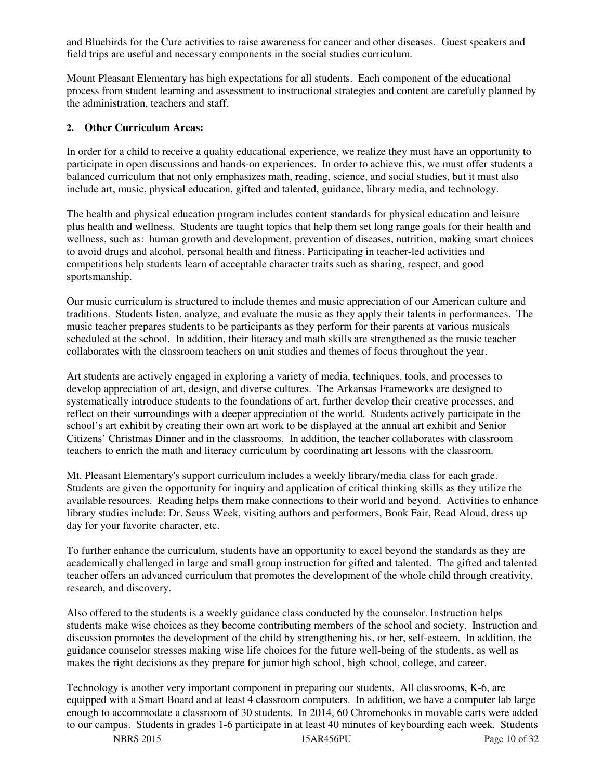and Bluebirds for the Cure activities to raise awareness for cancer and other diseases. Guest speakers and field trips are useful and necessary components in the social studies curriculum.

Mount Pleasant Elementary has high expectations for all students. Each component of the educational process from student learning and assessment to instructional strategies and content are carefully planned by the administration, teachers and staff.

#### **2. Other Curriculum Areas:**

In order for a child to receive a quality educational experience, we realize they must have an opportunity to participate in open discussions and hands-on experiences. In order to achieve this, we must offer students a balanced curriculum that not only emphasizes math, reading, science, and social studies, but it must also include art, music, physical education, gifted and talented, guidance, library media, and technology.

The health and physical education program includes content standards for physical education and leisure plus health and wellness. Students are taught topics that help them set long range goals for their health and wellness, such as: human growth and development, prevention of diseases, nutrition, making smart choices to avoid drugs and alcohol, personal health and fitness. Participating in teacher-led activities and competitions help students learn of acceptable character traits such as sharing, respect, and good sportsmanship.

Our music curriculum is structured to include themes and music appreciation of our American culture and traditions. Students listen, analyze, and evaluate the music as they apply their talents in performances. The music teacher prepares students to be participants as they perform for their parents at various musicals scheduled at the school. In addition, their literacy and math skills are strengthened as the music teacher collaborates with the classroom teachers on unit studies and themes of focus throughout the year.

Art students are actively engaged in exploring a variety of media, techniques, tools, and processes to develop appreciation of art, design, and diverse cultures. The Arkansas Frameworks are designed to systematically introduce students to the foundations of art, further develop their creative processes, and reflect on their surroundings with a deeper appreciation of the world. Students actively participate in the school's art exhibit by creating their own art work to be displayed at the annual art exhibit and Senior Citizens' Christmas Dinner and in the classrooms. In addition, the teacher collaborates with classroom teachers to enrich the math and literacy curriculum by coordinating art lessons with the classroom.

Mt. Pleasant Elementary's support curriculum includes a weekly library/media class for each grade. Students are given the opportunity for inquiry and application of critical thinking skills as they utilize the available resources. Reading helps them make connections to their world and beyond. Activities to enhance library studies include: Dr. Seuss Week, visiting authors and performers, Book Fair, Read Aloud, dress up day for your favorite character, etc.

To further enhance the curriculum, students have an opportunity to excel beyond the standards as they are academically challenged in large and small group instruction for gifted and talented. The gifted and talented teacher offers an advanced curriculum that promotes the development of the whole child through creativity, research, and discovery.

Also offered to the students is a weekly guidance class conducted by the counselor. Instruction helps students make wise choices as they become contributing members of the school and society. Instruction and discussion promotes the development of the child by strengthening his, or her, self-esteem. In addition, the guidance counselor stresses making wise life choices for the future well-being of the students, as well as makes the right decisions as they prepare for junior high school, high school, college, and career.

Technology is another very important component in preparing our students. All classrooms, K-6, are equipped with a Smart Board and at least 4 classroom computers. In addition, we have a computer lab large enough to accommodate a classroom of 30 students. In 2014, 60 Chromebooks in movable carts were added to our campus. Students in grades 1-6 participate in at least 40 minutes of keyboarding each week. Students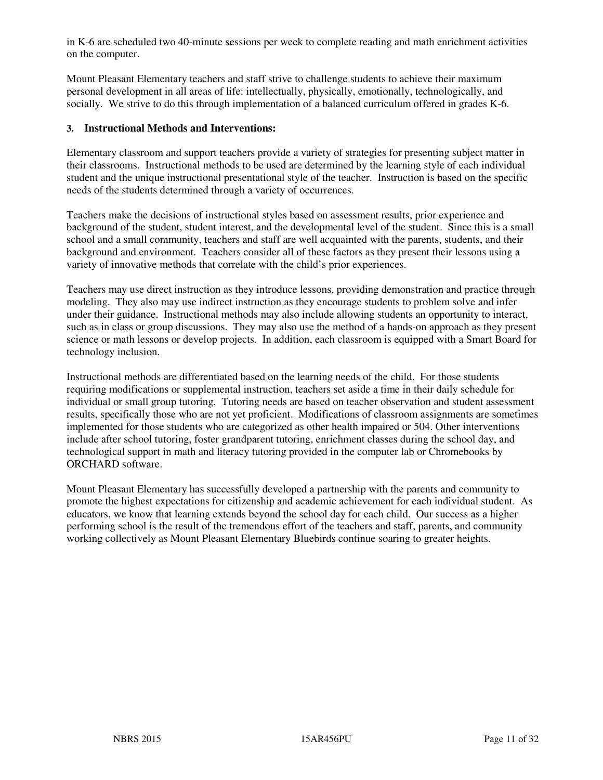in K-6 are scheduled two 40-minute sessions per week to complete reading and math enrichment activities on the computer.

Mount Pleasant Elementary teachers and staff strive to challenge students to achieve their maximum personal development in all areas of life: intellectually, physically, emotionally, technologically, and socially. We strive to do this through implementation of a balanced curriculum offered in grades K-6.

#### **3. Instructional Methods and Interventions:**

Elementary classroom and support teachers provide a variety of strategies for presenting subject matter in their classrooms. Instructional methods to be used are determined by the learning style of each individual student and the unique instructional presentational style of the teacher. Instruction is based on the specific needs of the students determined through a variety of occurrences.

Teachers make the decisions of instructional styles based on assessment results, prior experience and background of the student, student interest, and the developmental level of the student. Since this is a small school and a small community, teachers and staff are well acquainted with the parents, students, and their background and environment. Teachers consider all of these factors as they present their lessons using a variety of innovative methods that correlate with the child's prior experiences.

Teachers may use direct instruction as they introduce lessons, providing demonstration and practice through modeling. They also may use indirect instruction as they encourage students to problem solve and infer under their guidance. Instructional methods may also include allowing students an opportunity to interact, such as in class or group discussions. They may also use the method of a hands-on approach as they present science or math lessons or develop projects. In addition, each classroom is equipped with a Smart Board for technology inclusion.

Instructional methods are differentiated based on the learning needs of the child. For those students requiring modifications or supplemental instruction, teachers set aside a time in their daily schedule for individual or small group tutoring. Tutoring needs are based on teacher observation and student assessment results, specifically those who are not yet proficient. Modifications of classroom assignments are sometimes implemented for those students who are categorized as other health impaired or 504. Other interventions include after school tutoring, foster grandparent tutoring, enrichment classes during the school day, and technological support in math and literacy tutoring provided in the computer lab or Chromebooks by ORCHARD software.

Mount Pleasant Elementary has successfully developed a partnership with the parents and community to promote the highest expectations for citizenship and academic achievement for each individual student. As educators, we know that learning extends beyond the school day for each child. Our success as a higher performing school is the result of the tremendous effort of the teachers and staff, parents, and community working collectively as Mount Pleasant Elementary Bluebirds continue soaring to greater heights.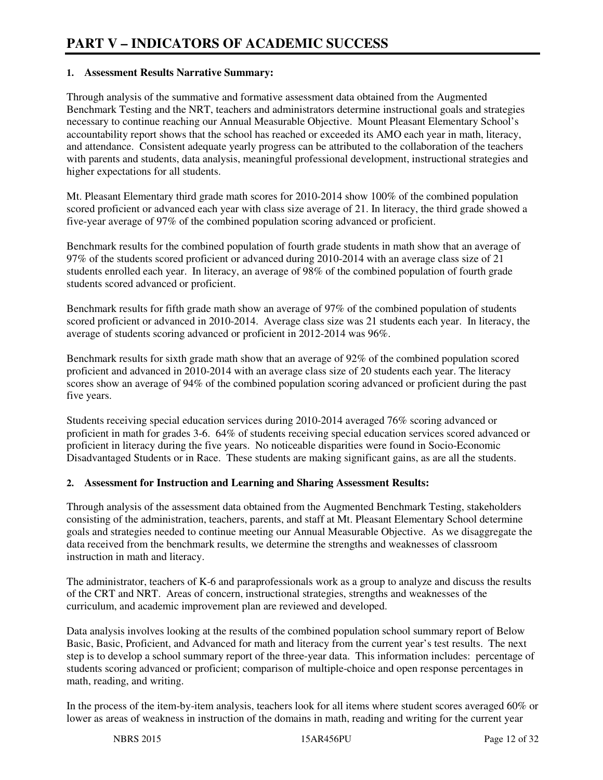#### **1. Assessment Results Narrative Summary:**

Through analysis of the summative and formative assessment data obtained from the Augmented Benchmark Testing and the NRT, teachers and administrators determine instructional goals and strategies necessary to continue reaching our Annual Measurable Objective. Mount Pleasant Elementary School's accountability report shows that the school has reached or exceeded its AMO each year in math, literacy, and attendance. Consistent adequate yearly progress can be attributed to the collaboration of the teachers with parents and students, data analysis, meaningful professional development, instructional strategies and higher expectations for all students.

Mt. Pleasant Elementary third grade math scores for 2010-2014 show 100% of the combined population scored proficient or advanced each year with class size average of 21. In literacy, the third grade showed a five-year average of 97% of the combined population scoring advanced or proficient.

Benchmark results for the combined population of fourth grade students in math show that an average of 97% of the students scored proficient or advanced during 2010-2014 with an average class size of 21 students enrolled each year. In literacy, an average of 98% of the combined population of fourth grade students scored advanced or proficient.

Benchmark results for fifth grade math show an average of 97% of the combined population of students scored proficient or advanced in 2010-2014. Average class size was 21 students each year. In literacy, the average of students scoring advanced or proficient in 2012-2014 was 96%.

Benchmark results for sixth grade math show that an average of 92% of the combined population scored proficient and advanced in 2010-2014 with an average class size of 20 students each year. The literacy scores show an average of 94% of the combined population scoring advanced or proficient during the past five years.

Students receiving special education services during 2010-2014 averaged 76% scoring advanced or proficient in math for grades 3-6. 64% of students receiving special education services scored advanced or proficient in literacy during the five years. No noticeable disparities were found in Socio-Economic Disadvantaged Students or in Race. These students are making significant gains, as are all the students.

#### **2. Assessment for Instruction and Learning and Sharing Assessment Results:**

Through analysis of the assessment data obtained from the Augmented Benchmark Testing, stakeholders consisting of the administration, teachers, parents, and staff at Mt. Pleasant Elementary School determine goals and strategies needed to continue meeting our Annual Measurable Objective. As we disaggregate the data received from the benchmark results, we determine the strengths and weaknesses of classroom instruction in math and literacy.

The administrator, teachers of K-6 and paraprofessionals work as a group to analyze and discuss the results of the CRT and NRT. Areas of concern, instructional strategies, strengths and weaknesses of the curriculum, and academic improvement plan are reviewed and developed.

Data analysis involves looking at the results of the combined population school summary report of Below Basic, Basic, Proficient, and Advanced for math and literacy from the current year's test results. The next step is to develop a school summary report of the three-year data. This information includes: percentage of students scoring advanced or proficient; comparison of multiple-choice and open response percentages in math, reading, and writing.

In the process of the item-by-item analysis, teachers look for all items where student scores averaged 60% or lower as areas of weakness in instruction of the domains in math, reading and writing for the current year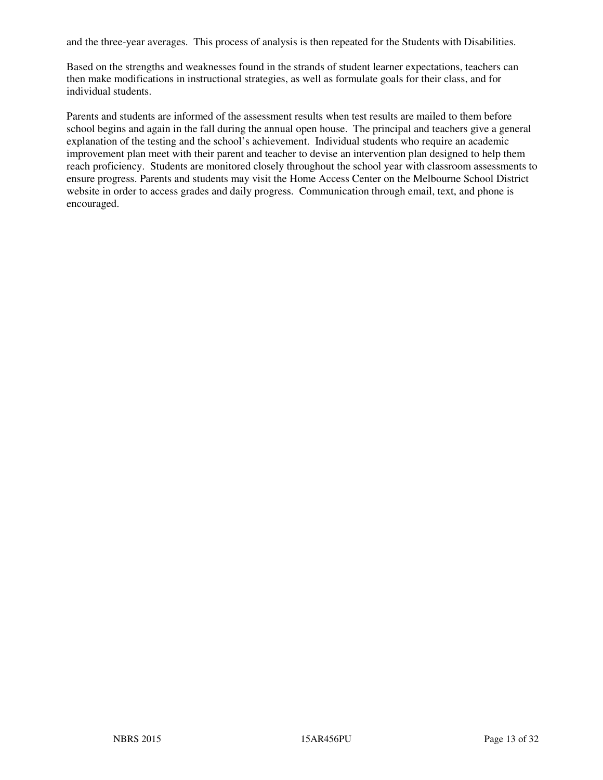and the three-year averages. This process of analysis is then repeated for the Students with Disabilities.

Based on the strengths and weaknesses found in the strands of student learner expectations, teachers can then make modifications in instructional strategies, as well as formulate goals for their class, and for individual students.

Parents and students are informed of the assessment results when test results are mailed to them before school begins and again in the fall during the annual open house. The principal and teachers give a general explanation of the testing and the school's achievement. Individual students who require an academic improvement plan meet with their parent and teacher to devise an intervention plan designed to help them reach proficiency. Students are monitored closely throughout the school year with classroom assessments to ensure progress. Parents and students may visit the Home Access Center on the Melbourne School District website in order to access grades and daily progress. Communication through email, text, and phone is encouraged.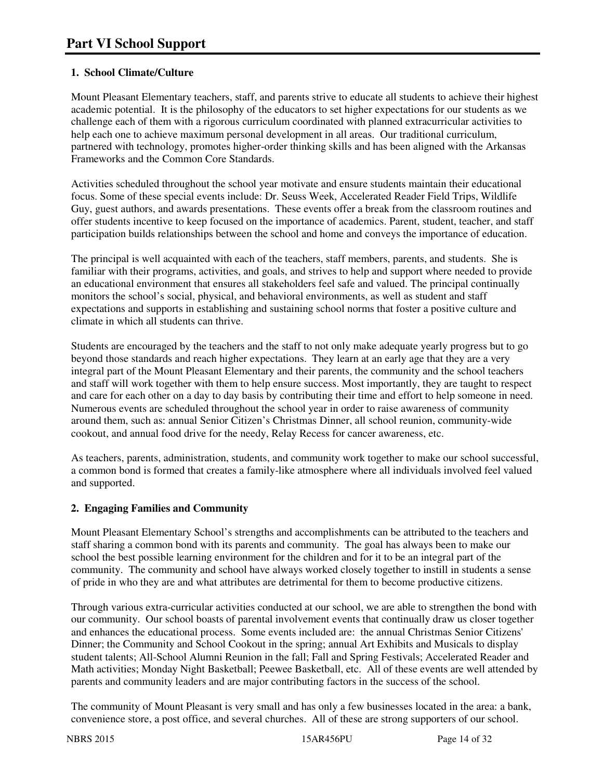#### **1. School Climate/Culture**

Mount Pleasant Elementary teachers, staff, and parents strive to educate all students to achieve their highest academic potential. It is the philosophy of the educators to set higher expectations for our students as we challenge each of them with a rigorous curriculum coordinated with planned extracurricular activities to help each one to achieve maximum personal development in all areas. Our traditional curriculum, partnered with technology, promotes higher-order thinking skills and has been aligned with the Arkansas Frameworks and the Common Core Standards.

Activities scheduled throughout the school year motivate and ensure students maintain their educational focus. Some of these special events include: Dr. Seuss Week, Accelerated Reader Field Trips, Wildlife Guy, guest authors, and awards presentations. These events offer a break from the classroom routines and offer students incentive to keep focused on the importance of academics. Parent, student, teacher, and staff participation builds relationships between the school and home and conveys the importance of education.

The principal is well acquainted with each of the teachers, staff members, parents, and students. She is familiar with their programs, activities, and goals, and strives to help and support where needed to provide an educational environment that ensures all stakeholders feel safe and valued. The principal continually monitors the school's social, physical, and behavioral environments, as well as student and staff expectations and supports in establishing and sustaining school norms that foster a positive culture and climate in which all students can thrive.

Students are encouraged by the teachers and the staff to not only make adequate yearly progress but to go beyond those standards and reach higher expectations. They learn at an early age that they are a very integral part of the Mount Pleasant Elementary and their parents, the community and the school teachers and staff will work together with them to help ensure success. Most importantly, they are taught to respect and care for each other on a day to day basis by contributing their time and effort to help someone in need. Numerous events are scheduled throughout the school year in order to raise awareness of community around them, such as: annual Senior Citizen's Christmas Dinner, all school reunion, community-wide cookout, and annual food drive for the needy, Relay Recess for cancer awareness, etc.

As teachers, parents, administration, students, and community work together to make our school successful, a common bond is formed that creates a family-like atmosphere where all individuals involved feel valued and supported.

#### **2. Engaging Families and Community**

Mount Pleasant Elementary School's strengths and accomplishments can be attributed to the teachers and staff sharing a common bond with its parents and community. The goal has always been to make our school the best possible learning environment for the children and for it to be an integral part of the community. The community and school have always worked closely together to instill in students a sense of pride in who they are and what attributes are detrimental for them to become productive citizens.

Through various extra-curricular activities conducted at our school, we are able to strengthen the bond with our community. Our school boasts of parental involvement events that continually draw us closer together and enhances the educational process. Some events included are: the annual Christmas Senior Citizens' Dinner; the Community and School Cookout in the spring; annual Art Exhibits and Musicals to display student talents; All-School Alumni Reunion in the fall; Fall and Spring Festivals; Accelerated Reader and Math activities; Monday Night Basketball; Peewee Basketball, etc. All of these events are well attended by parents and community leaders and are major contributing factors in the success of the school.

The community of Mount Pleasant is very small and has only a few businesses located in the area: a bank, convenience store, a post office, and several churches. All of these are strong supporters of our school.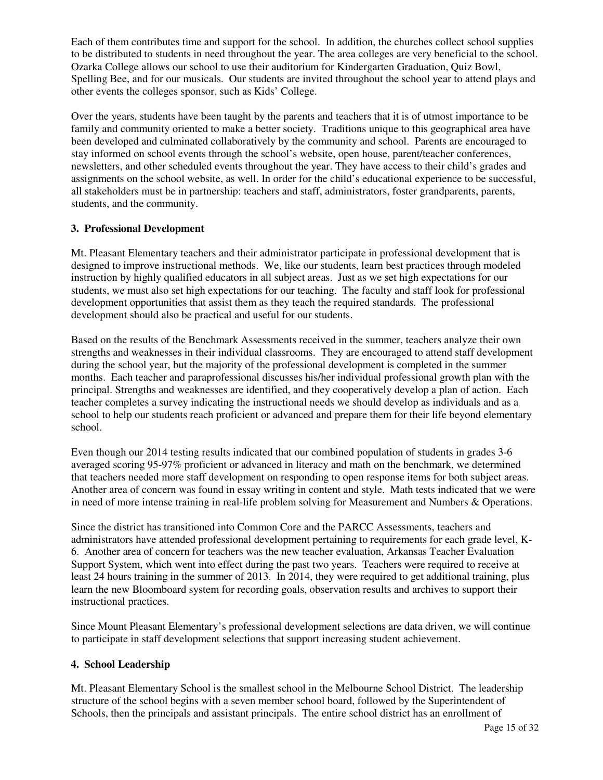Each of them contributes time and support for the school. In addition, the churches collect school supplies to be distributed to students in need throughout the year. The area colleges are very beneficial to the school. Ozarka College allows our school to use their auditorium for Kindergarten Graduation, Quiz Bowl, Spelling Bee, and for our musicals. Our students are invited throughout the school year to attend plays and other events the colleges sponsor, such as Kids' College.

Over the years, students have been taught by the parents and teachers that it is of utmost importance to be family and community oriented to make a better society. Traditions unique to this geographical area have been developed and culminated collaboratively by the community and school. Parents are encouraged to stay informed on school events through the school's website, open house, parent/teacher conferences, newsletters, and other scheduled events throughout the year. They have access to their child's grades and assignments on the school website, as well. In order for the child's educational experience to be successful, all stakeholders must be in partnership: teachers and staff, administrators, foster grandparents, parents, students, and the community.

#### **3. Professional Development**

Mt. Pleasant Elementary teachers and their administrator participate in professional development that is designed to improve instructional methods. We, like our students, learn best practices through modeled instruction by highly qualified educators in all subject areas. Just as we set high expectations for our students, we must also set high expectations for our teaching. The faculty and staff look for professional development opportunities that assist them as they teach the required standards. The professional development should also be practical and useful for our students.

Based on the results of the Benchmark Assessments received in the summer, teachers analyze their own strengths and weaknesses in their individual classrooms. They are encouraged to attend staff development during the school year, but the majority of the professional development is completed in the summer months. Each teacher and paraprofessional discusses his/her individual professional growth plan with the principal. Strengths and weaknesses are identified, and they cooperatively develop a plan of action. Each teacher completes a survey indicating the instructional needs we should develop as individuals and as a school to help our students reach proficient or advanced and prepare them for their life beyond elementary school.

Even though our 2014 testing results indicated that our combined population of students in grades 3-6 averaged scoring 95-97% proficient or advanced in literacy and math on the benchmark, we determined that teachers needed more staff development on responding to open response items for both subject areas. Another area of concern was found in essay writing in content and style. Math tests indicated that we were in need of more intense training in real-life problem solving for Measurement and Numbers & Operations.

Since the district has transitioned into Common Core and the PARCC Assessments, teachers and administrators have attended professional development pertaining to requirements for each grade level, K-6. Another area of concern for teachers was the new teacher evaluation, Arkansas Teacher Evaluation Support System, which went into effect during the past two years. Teachers were required to receive at least 24 hours training in the summer of 2013. In 2014, they were required to get additional training, plus learn the new Bloomboard system for recording goals, observation results and archives to support their instructional practices.

Since Mount Pleasant Elementary's professional development selections are data driven, we will continue to participate in staff development selections that support increasing student achievement.

#### **4. School Leadership**

Mt. Pleasant Elementary School is the smallest school in the Melbourne School District. The leadership structure of the school begins with a seven member school board, followed by the Superintendent of Schools, then the principals and assistant principals. The entire school district has an enrollment of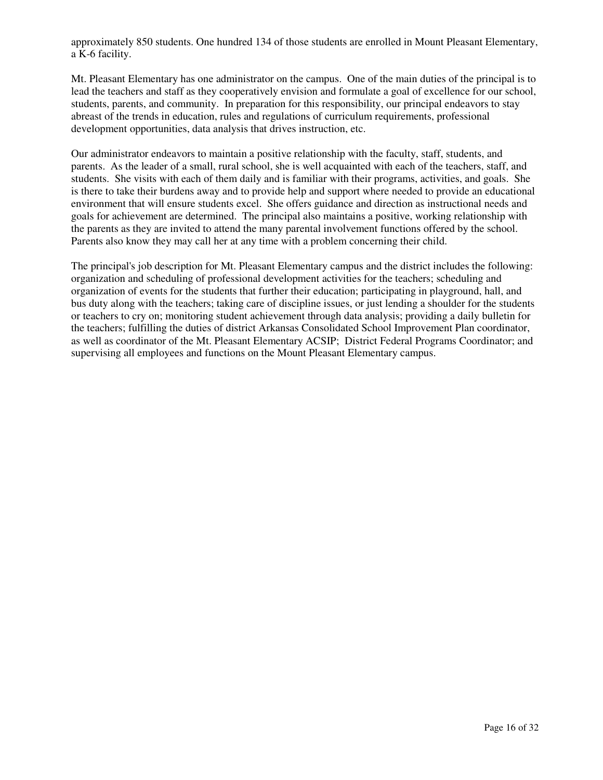approximately 850 students. One hundred 134 of those students are enrolled in Mount Pleasant Elementary, a K-6 facility.

Mt. Pleasant Elementary has one administrator on the campus. One of the main duties of the principal is to lead the teachers and staff as they cooperatively envision and formulate a goal of excellence for our school, students, parents, and community. In preparation for this responsibility, our principal endeavors to stay abreast of the trends in education, rules and regulations of curriculum requirements, professional development opportunities, data analysis that drives instruction, etc.

Our administrator endeavors to maintain a positive relationship with the faculty, staff, students, and parents. As the leader of a small, rural school, she is well acquainted with each of the teachers, staff, and students. She visits with each of them daily and is familiar with their programs, activities, and goals. She is there to take their burdens away and to provide help and support where needed to provide an educational environment that will ensure students excel. She offers guidance and direction as instructional needs and goals for achievement are determined. The principal also maintains a positive, working relationship with the parents as they are invited to attend the many parental involvement functions offered by the school. Parents also know they may call her at any time with a problem concerning their child.

The principal's job description for Mt. Pleasant Elementary campus and the district includes the following: organization and scheduling of professional development activities for the teachers; scheduling and organization of events for the students that further their education; participating in playground, hall, and bus duty along with the teachers; taking care of discipline issues, or just lending a shoulder for the students or teachers to cry on; monitoring student achievement through data analysis; providing a daily bulletin for the teachers; fulfilling the duties of district Arkansas Consolidated School Improvement Plan coordinator, as well as coordinator of the Mt. Pleasant Elementary ACSIP; District Federal Programs Coordinator; and supervising all employees and functions on the Mount Pleasant Elementary campus.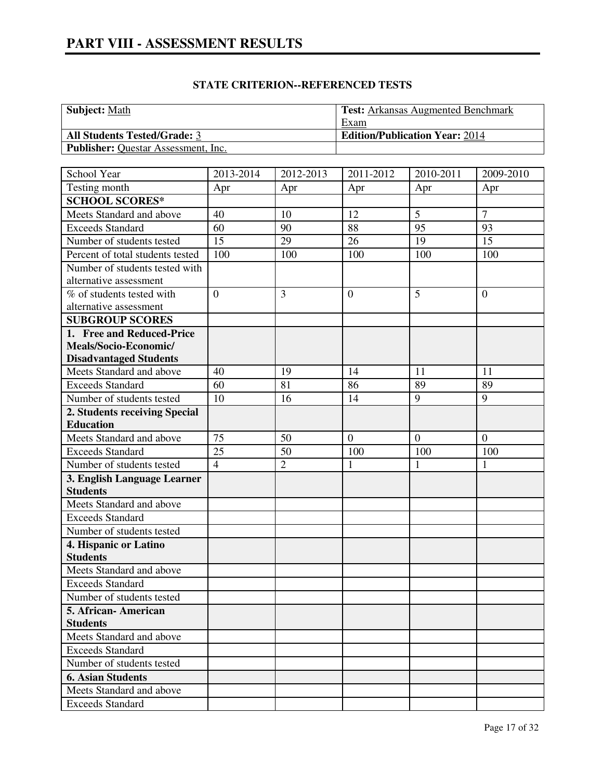| <b>Subject:</b> Math                       | <b>Test:</b> Arkansas Augmented Benchmark |
|--------------------------------------------|-------------------------------------------|
|                                            | Exam                                      |
| <b>All Students Tested/Grade: 3</b>        | <b>Edition/Publication Year: 2014</b>     |
| <b>Publisher:</b> Questar Assessment, Inc. |                                           |

| School Year                      | 2013-2014       | 2012-2013      | 2011-2012        | 2010-2011    | 2009-2010      |
|----------------------------------|-----------------|----------------|------------------|--------------|----------------|
| Testing month                    | Apr             | Apr            | Apr              | Apr          | Apr            |
| <b>SCHOOL SCORES*</b>            |                 |                |                  |              |                |
| Meets Standard and above         | 40              | 10             | 12               | 5            | $\overline{7}$ |
| <b>Exceeds Standard</b>          | 60              | 90             | 88               | 95           | 93             |
| Number of students tested        | $\overline{15}$ | 29             | 26               | 19           | 15             |
| Percent of total students tested | 100             | 100            | 100              | 100          | 100            |
| Number of students tested with   |                 |                |                  |              |                |
| alternative assessment           |                 |                |                  |              |                |
| % of students tested with        | $\overline{0}$  | $\overline{3}$ | $\overline{0}$   | 5            | $\overline{0}$ |
| alternative assessment           |                 |                |                  |              |                |
| <b>SUBGROUP SCORES</b>           |                 |                |                  |              |                |
| 1. Free and Reduced-Price        |                 |                |                  |              |                |
| Meals/Socio-Economic/            |                 |                |                  |              |                |
| <b>Disadvantaged Students</b>    |                 |                |                  |              |                |
| Meets Standard and above         | 40              | 19             | 14               | 11           | 11             |
| <b>Exceeds Standard</b>          | 60              | 81             | 86               | 89           | 89             |
| Number of students tested        | 10              | 16             | 14               | 9            | 9              |
| 2. Students receiving Special    |                 |                |                  |              |                |
| <b>Education</b>                 |                 |                |                  |              |                |
| Meets Standard and above         | 75              | 50             | $\boldsymbol{0}$ | $\mathbf{0}$ | $\overline{0}$ |
| <b>Exceeds Standard</b>          | 25              | 50             | 100              | 100          | 100            |
| Number of students tested        | $\overline{4}$  | $\overline{2}$ | $\mathbf{1}$     | $\mathbf{1}$ | $\mathbf{1}$   |
| 3. English Language Learner      |                 |                |                  |              |                |
| <b>Students</b>                  |                 |                |                  |              |                |
| Meets Standard and above         |                 |                |                  |              |                |
| <b>Exceeds Standard</b>          |                 |                |                  |              |                |
| Number of students tested        |                 |                |                  |              |                |
| 4. Hispanic or Latino            |                 |                |                  |              |                |
| <b>Students</b>                  |                 |                |                  |              |                |
| Meets Standard and above         |                 |                |                  |              |                |
| <b>Exceeds Standard</b>          |                 |                |                  |              |                |
| Number of students tested        |                 |                |                  |              |                |
| 5. African-American              |                 |                |                  |              |                |
| <b>Students</b>                  |                 |                |                  |              |                |
| Meets Standard and above         |                 |                |                  |              |                |
| <b>Exceeds Standard</b>          |                 |                |                  |              |                |
| Number of students tested        |                 |                |                  |              |                |
| <b>6. Asian Students</b>         |                 |                |                  |              |                |
| Meets Standard and above         |                 |                |                  |              |                |
| <b>Exceeds Standard</b>          |                 |                |                  |              |                |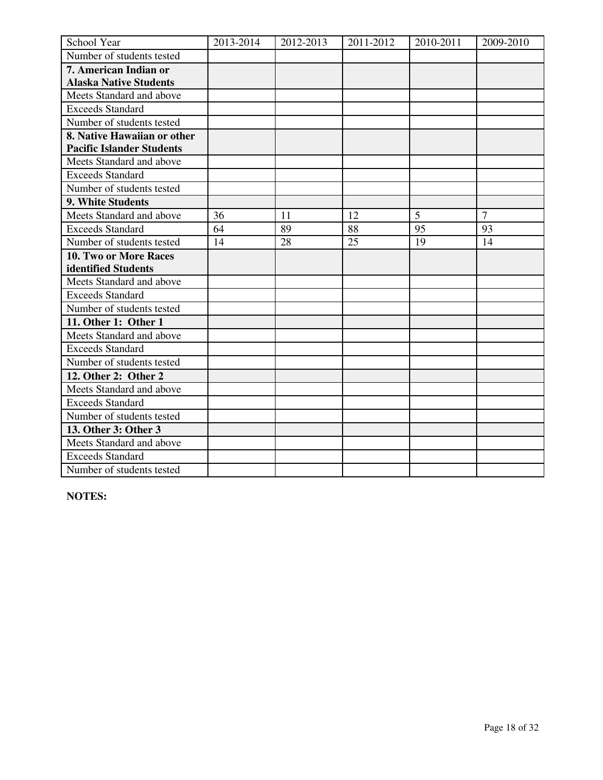| School Year                      | 2013-2014 | 2012-2013 | 2011-2012 | 2010-2011 | 2009-2010       |
|----------------------------------|-----------|-----------|-----------|-----------|-----------------|
| Number of students tested        |           |           |           |           |                 |
| 7. American Indian or            |           |           |           |           |                 |
| <b>Alaska Native Students</b>    |           |           |           |           |                 |
| Meets Standard and above         |           |           |           |           |                 |
| <b>Exceeds Standard</b>          |           |           |           |           |                 |
| Number of students tested        |           |           |           |           |                 |
| 8. Native Hawaiian or other      |           |           |           |           |                 |
| <b>Pacific Islander Students</b> |           |           |           |           |                 |
| Meets Standard and above         |           |           |           |           |                 |
| <b>Exceeds Standard</b>          |           |           |           |           |                 |
| Number of students tested        |           |           |           |           |                 |
| 9. White Students                |           |           |           |           |                 |
| Meets Standard and above         | 36        | 11        | 12        | 5         | $7\phantom{.0}$ |
| <b>Exceeds Standard</b>          | 64        | 89        | 88        | 95        | 93              |
| Number of students tested        | 14        | 28        | 25        | 19        | 14              |
| 10. Two or More Races            |           |           |           |           |                 |
| identified Students              |           |           |           |           |                 |
| Meets Standard and above         |           |           |           |           |                 |
| <b>Exceeds Standard</b>          |           |           |           |           |                 |
| Number of students tested        |           |           |           |           |                 |
| 11. Other 1: Other 1             |           |           |           |           |                 |
| Meets Standard and above         |           |           |           |           |                 |
| <b>Exceeds Standard</b>          |           |           |           |           |                 |
| Number of students tested        |           |           |           |           |                 |
| 12. Other 2: Other 2             |           |           |           |           |                 |
| Meets Standard and above         |           |           |           |           |                 |
| <b>Exceeds Standard</b>          |           |           |           |           |                 |
| Number of students tested        |           |           |           |           |                 |
| 13. Other 3: Other 3             |           |           |           |           |                 |
| Meets Standard and above         |           |           |           |           |                 |
| <b>Exceeds Standard</b>          |           |           |           |           |                 |
| Number of students tested        |           |           |           |           |                 |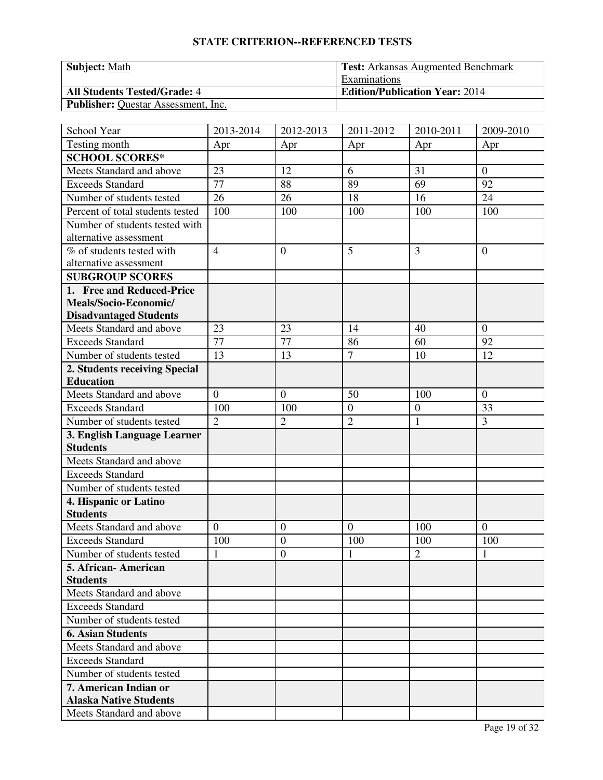| <b>Subject: Math</b>                       | <b>Test:</b> Arkansas Augmented Benchmark |
|--------------------------------------------|-------------------------------------------|
|                                            | Examinations                              |
| <b>All Students Tested/Grade: 4</b>        | <b>Edition/Publication Year: 2014</b>     |
| <b>Publisher:</b> Questar Assessment, Inc. |                                           |

| School Year                                            | 2013-2014      | 2012-2013      | 2011-2012        | 2010-2011      | 2009-2010      |
|--------------------------------------------------------|----------------|----------------|------------------|----------------|----------------|
| Testing month                                          | Apr            | Apr            | Apr              | Apr            | Apr            |
| <b>SCHOOL SCORES*</b>                                  |                |                |                  |                |                |
| Meets Standard and above                               | 23             | 12             | 6                | 31             | $\overline{0}$ |
| <b>Exceeds Standard</b>                                | 77             | 88             | 89               | 69             | 92             |
| Number of students tested                              | 26             | 26             | 18               | 16             | 24             |
| Percent of total students tested                       | 100            | 100            | 100              | 100            | 100            |
| Number of students tested with                         |                |                |                  |                |                |
| alternative assessment                                 |                |                |                  |                |                |
| % of students tested with                              | $\overline{4}$ | $\theta$       | 5                | $\overline{3}$ | $\mathbf{0}$   |
| alternative assessment                                 |                |                |                  |                |                |
| <b>SUBGROUP SCORES</b>                                 |                |                |                  |                |                |
| 1. Free and Reduced-Price                              |                |                |                  |                |                |
| Meals/Socio-Economic/                                  |                |                |                  |                |                |
| <b>Disadvantaged Students</b>                          |                |                |                  |                |                |
| Meets Standard and above                               | 23             | 23             | 14               | 40             | $\theta$       |
| <b>Exceeds Standard</b>                                | 77             | 77             | 86               | 60             | 92             |
| Number of students tested                              | 13             | 13             | $\overline{7}$   | 10             | 12             |
| 2. Students receiving Special                          |                |                |                  |                |                |
| <b>Education</b>                                       |                |                |                  |                |                |
| Meets Standard and above                               | $\overline{0}$ | $\overline{0}$ | 50               | 100            | $\overline{0}$ |
| <b>Exceeds Standard</b>                                | 100            | 100            | $\boldsymbol{0}$ | $\overline{0}$ | 33             |
| Number of students tested                              | $\overline{2}$ | $\overline{2}$ | $\overline{2}$   | $\mathbf{1}$   | 3              |
| 3. English Language Learner                            |                |                |                  |                |                |
| <b>Students</b>                                        |                |                |                  |                |                |
| Meets Standard and above                               |                |                |                  |                |                |
| <b>Exceeds Standard</b>                                |                |                |                  |                |                |
| Number of students tested                              |                |                |                  |                |                |
| 4. Hispanic or Latino                                  |                |                |                  |                |                |
| <b>Students</b>                                        |                |                |                  |                |                |
| Meets Standard and above                               | $\overline{0}$ | $\mathbf{0}$   | $\overline{0}$   | 100            | $\mathbf{0}$   |
| <b>Exceeds Standard</b>                                | 100            | $\mathbf{0}$   | 100              | 100            | 100            |
| Number of students tested                              | 1              | $\overline{0}$ | 1                | $\overline{2}$ | $\mathbf{1}$   |
| 5. African - American                                  |                |                |                  |                |                |
| <b>Students</b>                                        |                |                |                  |                |                |
| Meets Standard and above                               |                |                |                  |                |                |
| <b>Exceeds Standard</b>                                |                |                |                  |                |                |
| Number of students tested                              |                |                |                  |                |                |
| <b>6. Asian Students</b>                               |                |                |                  |                |                |
| Meets Standard and above                               |                |                |                  |                |                |
| <b>Exceeds Standard</b>                                |                |                |                  |                |                |
| Number of students tested                              |                |                |                  |                |                |
| 7. American Indian or<br><b>Alaska Native Students</b> |                |                |                  |                |                |
|                                                        |                |                |                  |                |                |
| Meets Standard and above                               |                |                |                  |                |                |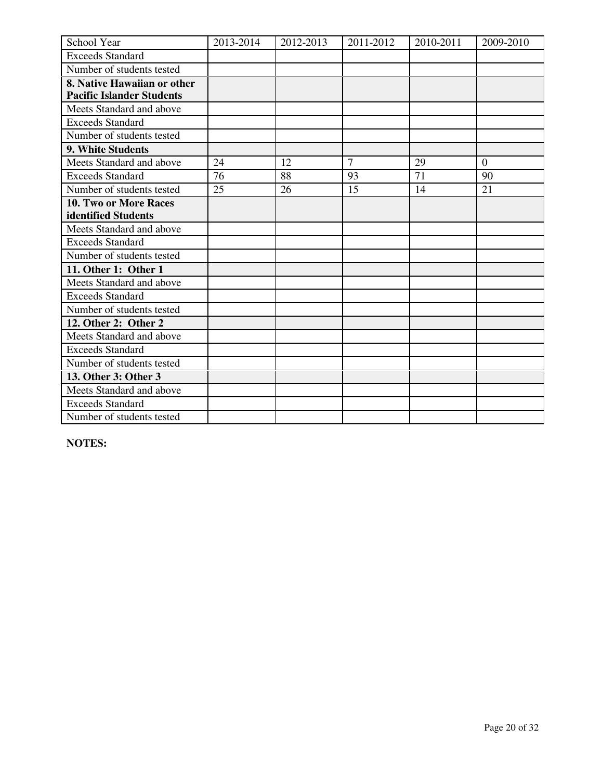| School Year                      | 2013-2014 | 2012-2013 | 2011-2012      | 2010-2011 | 2009-2010      |
|----------------------------------|-----------|-----------|----------------|-----------|----------------|
| <b>Exceeds Standard</b>          |           |           |                |           |                |
| Number of students tested        |           |           |                |           |                |
| 8. Native Hawaiian or other      |           |           |                |           |                |
| <b>Pacific Islander Students</b> |           |           |                |           |                |
| Meets Standard and above         |           |           |                |           |                |
| <b>Exceeds Standard</b>          |           |           |                |           |                |
| Number of students tested        |           |           |                |           |                |
| 9. White Students                |           |           |                |           |                |
| Meets Standard and above         | 24        | 12        | $\overline{7}$ | 29        | $\overline{0}$ |
| <b>Exceeds Standard</b>          | 76        | 88        | 93             | 71        | 90             |
| Number of students tested        | 25        | 26        | 15             | 14        | 21             |
| 10. Two or More Races            |           |           |                |           |                |
| identified Students              |           |           |                |           |                |
| Meets Standard and above         |           |           |                |           |                |
| <b>Exceeds Standard</b>          |           |           |                |           |                |
| Number of students tested        |           |           |                |           |                |
| 11. Other 1: Other 1             |           |           |                |           |                |
| Meets Standard and above         |           |           |                |           |                |
| <b>Exceeds Standard</b>          |           |           |                |           |                |
| Number of students tested        |           |           |                |           |                |
| 12. Other 2: Other 2             |           |           |                |           |                |
| Meets Standard and above         |           |           |                |           |                |
| <b>Exceeds Standard</b>          |           |           |                |           |                |
| Number of students tested        |           |           |                |           |                |
| 13. Other 3: Other 3             |           |           |                |           |                |
| Meets Standard and above         |           |           |                |           |                |
| <b>Exceeds Standard</b>          |           |           |                |           |                |
| Number of students tested        |           |           |                |           |                |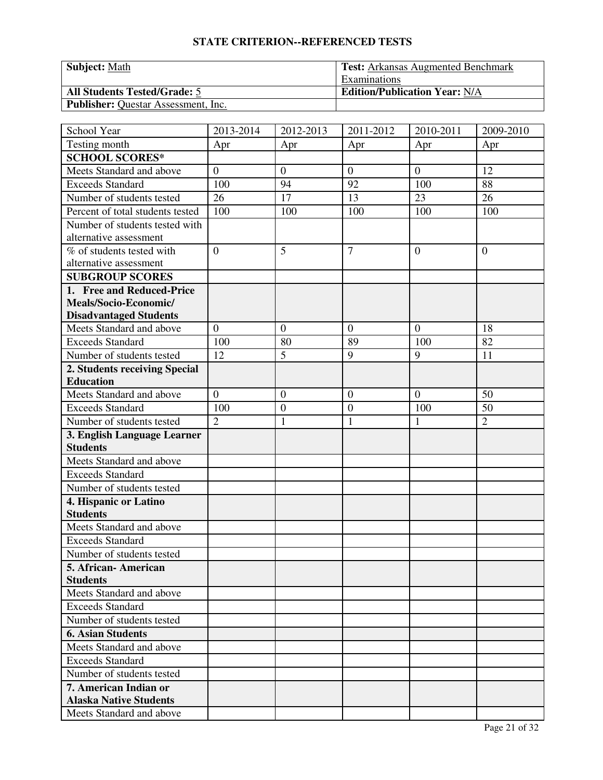| <b>Subject: Math</b>                       | <b>Test:</b> Arkansas Augmented Benchmark |
|--------------------------------------------|-------------------------------------------|
|                                            | <b>Examinations</b>                       |
| <b>All Students Tested/Grade: 5</b>        | <b>Edition/Publication Year: N/A</b>      |
| <b>Publisher:</b> Questar Assessment, Inc. |                                           |

| School Year                      | 2013-2014      | 2012-2013        | 2011-2012        | 2010-2011      | 2009-2010      |
|----------------------------------|----------------|------------------|------------------|----------------|----------------|
| Testing month                    | Apr            | Apr              | Apr              | Apr            | Apr            |
| <b>SCHOOL SCORES*</b>            |                |                  |                  |                |                |
| Meets Standard and above         | $\overline{0}$ | $\overline{0}$   | $\theta$         | $\mathbf{0}$   | 12             |
| <b>Exceeds Standard</b>          | 100            | 94               | 92               | 100            | 88             |
| Number of students tested        | 26             | 17               | 13               | 23             | 26             |
| Percent of total students tested | 100            | 100              | 100              | 100            | 100            |
| Number of students tested with   |                |                  |                  |                |                |
| alternative assessment           |                |                  |                  |                |                |
| % of students tested with        | $\theta$       | 5                | $\overline{7}$   | $\theta$       | $\mathbf{0}$   |
| alternative assessment           |                |                  |                  |                |                |
| <b>SUBGROUP SCORES</b>           |                |                  |                  |                |                |
| 1. Free and Reduced-Price        |                |                  |                  |                |                |
| Meals/Socio-Economic/            |                |                  |                  |                |                |
| <b>Disadvantaged Students</b>    |                |                  |                  |                |                |
| Meets Standard and above         | $\mathbf{0}$   | $\theta$         | $\overline{0}$   | $\theta$       | 18             |
| <b>Exceeds Standard</b>          | 100            | 80               | 89               | 100            | 82             |
| Number of students tested        | 12             | 5                | 9                | 9              | 11             |
| 2. Students receiving Special    |                |                  |                  |                |                |
| <b>Education</b>                 |                |                  |                  |                |                |
| Meets Standard and above         | $\overline{0}$ | $\mathbf{0}$     | $\boldsymbol{0}$ | $\overline{0}$ | 50             |
| <b>Exceeds Standard</b>          | 100            | $\boldsymbol{0}$ | $\boldsymbol{0}$ | 100            | 50             |
| Number of students tested        | $\overline{2}$ | $\mathbf{1}$     | $\mathbf{1}$     | $\mathbf{1}$   | $\overline{2}$ |
| 3. English Language Learner      |                |                  |                  |                |                |
| <b>Students</b>                  |                |                  |                  |                |                |
| Meets Standard and above         |                |                  |                  |                |                |
| <b>Exceeds Standard</b>          |                |                  |                  |                |                |
| Number of students tested        |                |                  |                  |                |                |
| 4. Hispanic or Latino            |                |                  |                  |                |                |
| <b>Students</b>                  |                |                  |                  |                |                |
| Meets Standard and above         |                |                  |                  |                |                |
| <b>Exceeds Standard</b>          |                |                  |                  |                |                |
| Number of students tested        |                |                  |                  |                |                |
| 5. African - American            |                |                  |                  |                |                |
| <b>Students</b>                  |                |                  |                  |                |                |
| Meets Standard and above         |                |                  |                  |                |                |
| <b>Exceeds Standard</b>          |                |                  |                  |                |                |
| Number of students tested        |                |                  |                  |                |                |
| <b>6. Asian Students</b>         |                |                  |                  |                |                |
| Meets Standard and above         |                |                  |                  |                |                |
| <b>Exceeds Standard</b>          |                |                  |                  |                |                |
| Number of students tested        |                |                  |                  |                |                |
| 7. American Indian or            |                |                  |                  |                |                |
| <b>Alaska Native Students</b>    |                |                  |                  |                |                |
| Meets Standard and above         |                |                  |                  |                |                |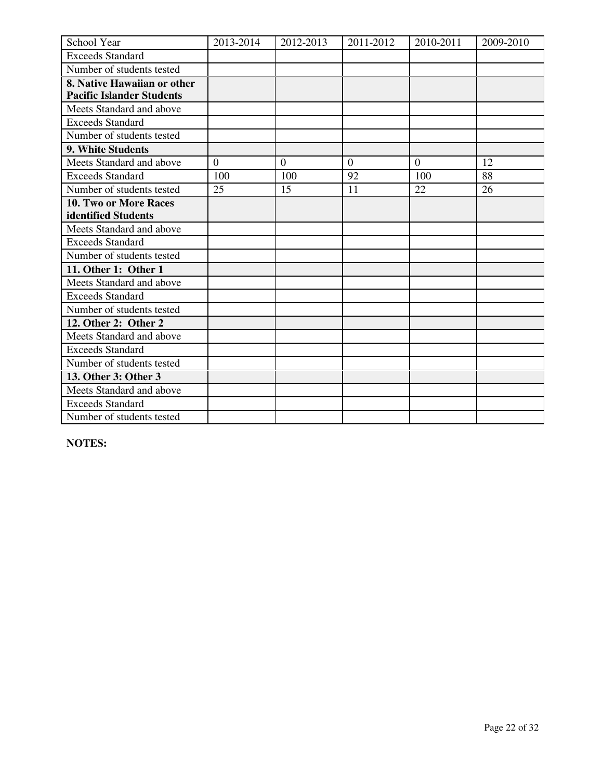| School Year                      | 2013-2014 | 2012-2013 | 2011-2012 | 2010-2011 | 2009-2010 |
|----------------------------------|-----------|-----------|-----------|-----------|-----------|
| <b>Exceeds Standard</b>          |           |           |           |           |           |
| Number of students tested        |           |           |           |           |           |
| 8. Native Hawaiian or other      |           |           |           |           |           |
| <b>Pacific Islander Students</b> |           |           |           |           |           |
| Meets Standard and above         |           |           |           |           |           |
| <b>Exceeds Standard</b>          |           |           |           |           |           |
| Number of students tested        |           |           |           |           |           |
| 9. White Students                |           |           |           |           |           |
| Meets Standard and above         | $\Omega$  | $\Omega$  | $\Omega$  | $\theta$  | 12        |
| <b>Exceeds Standard</b>          | 100       | 100       | 92        | 100       | 88        |
| Number of students tested        | 25        | 15        | 11        | 22        | 26        |
| <b>10. Two or More Races</b>     |           |           |           |           |           |
| identified Students              |           |           |           |           |           |
| Meets Standard and above         |           |           |           |           |           |
| <b>Exceeds Standard</b>          |           |           |           |           |           |
| Number of students tested        |           |           |           |           |           |
| 11. Other 1: Other 1             |           |           |           |           |           |
| Meets Standard and above         |           |           |           |           |           |
| <b>Exceeds Standard</b>          |           |           |           |           |           |
| Number of students tested        |           |           |           |           |           |
| 12. Other 2: Other 2             |           |           |           |           |           |
| Meets Standard and above         |           |           |           |           |           |
| <b>Exceeds Standard</b>          |           |           |           |           |           |
| Number of students tested        |           |           |           |           |           |
| 13. Other 3: Other 3             |           |           |           |           |           |
| Meets Standard and above         |           |           |           |           |           |
| <b>Exceeds Standard</b>          |           |           |           |           |           |
| Number of students tested        |           |           |           |           |           |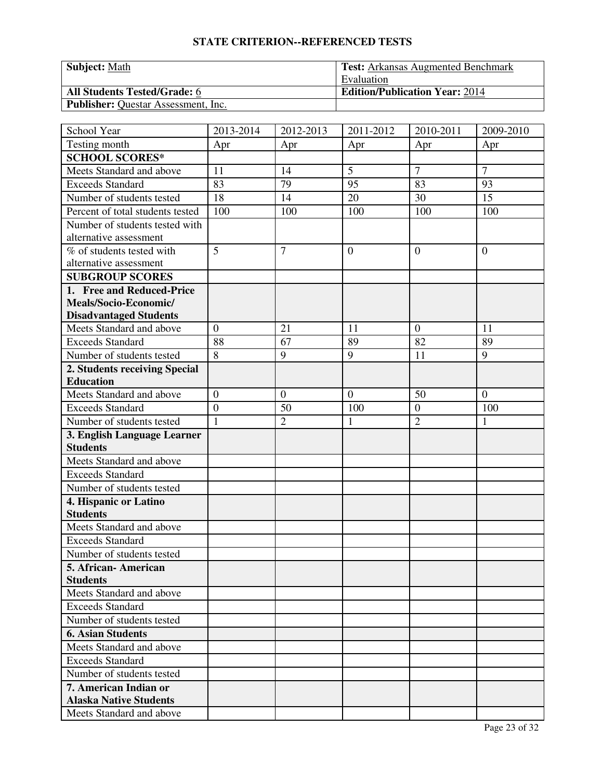| <b>Subject: Math</b>                       | <b>Test:</b> Arkansas Augmented Benchmark |
|--------------------------------------------|-------------------------------------------|
|                                            | Evaluation                                |
| <b>All Students Tested/Grade: 6</b>        | <b>Edition/Publication Year: 2014</b>     |
| <b>Publisher:</b> Questar Assessment, Inc. |                                           |

| School Year                      | 2013-2014        | 2012-2013      | 2011-2012        | 2010-2011      | 2009-2010        |
|----------------------------------|------------------|----------------|------------------|----------------|------------------|
| Testing month                    | Apr              | Apr            | Apr              | Apr            | Apr              |
| <b>SCHOOL SCORES*</b>            |                  |                |                  |                |                  |
| Meets Standard and above         | 11               | 14             | 5                | 7              | $\overline{7}$   |
| <b>Exceeds Standard</b>          | 83               | 79             | 95               | 83             | 93               |
| Number of students tested        | 18               | 14             | 20               | 30             | 15               |
| Percent of total students tested | 100              | 100            | 100              | 100            | 100              |
| Number of students tested with   |                  |                |                  |                |                  |
| alternative assessment           |                  |                |                  |                |                  |
| % of students tested with        | 5                | $\overline{7}$ | $\overline{0}$   | $\theta$       | $\mathbf{0}$     |
| alternative assessment           |                  |                |                  |                |                  |
| <b>SUBGROUP SCORES</b>           |                  |                |                  |                |                  |
| 1. Free and Reduced-Price        |                  |                |                  |                |                  |
| Meals/Socio-Economic/            |                  |                |                  |                |                  |
| <b>Disadvantaged Students</b>    |                  |                |                  |                |                  |
| Meets Standard and above         | $\mathbf{0}$     | 21             | 11               | $\theta$       | 11               |
| <b>Exceeds Standard</b>          | 88               | 67             | 89               | 82             | 89               |
| Number of students tested        | 8                | 9              | 9                | 11             | 9                |
| 2. Students receiving Special    |                  |                |                  |                |                  |
| <b>Education</b>                 |                  |                |                  |                |                  |
| Meets Standard and above         | $\boldsymbol{0}$ | $\mathbf{0}$   | $\boldsymbol{0}$ | 50             | $\boldsymbol{0}$ |
| <b>Exceeds Standard</b>          | $\overline{0}$   | 50             | 100              | $\overline{0}$ | 100              |
| Number of students tested        | $\mathbf{1}$     | $\overline{2}$ | $\mathbf{1}$     | $\overline{2}$ | $\mathbf{1}$     |
| 3. English Language Learner      |                  |                |                  |                |                  |
| <b>Students</b>                  |                  |                |                  |                |                  |
| Meets Standard and above         |                  |                |                  |                |                  |
| <b>Exceeds Standard</b>          |                  |                |                  |                |                  |
| Number of students tested        |                  |                |                  |                |                  |
| 4. Hispanic or Latino            |                  |                |                  |                |                  |
| <b>Students</b>                  |                  |                |                  |                |                  |
| Meets Standard and above         |                  |                |                  |                |                  |
| <b>Exceeds Standard</b>          |                  |                |                  |                |                  |
| Number of students tested        |                  |                |                  |                |                  |
| 5. African - American            |                  |                |                  |                |                  |
| <b>Students</b>                  |                  |                |                  |                |                  |
| Meets Standard and above         |                  |                |                  |                |                  |
| <b>Exceeds Standard</b>          |                  |                |                  |                |                  |
| Number of students tested        |                  |                |                  |                |                  |
| <b>6. Asian Students</b>         |                  |                |                  |                |                  |
| Meets Standard and above         |                  |                |                  |                |                  |
| <b>Exceeds Standard</b>          |                  |                |                  |                |                  |
| Number of students tested        |                  |                |                  |                |                  |
| 7. American Indian or            |                  |                |                  |                |                  |
| <b>Alaska Native Students</b>    |                  |                |                  |                |                  |
| Meets Standard and above         |                  |                |                  |                |                  |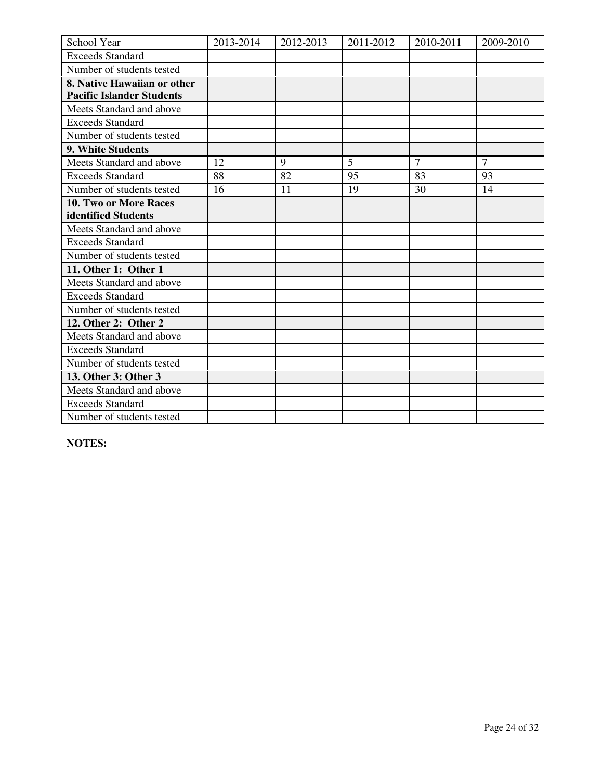| School Year                      | 2013-2014 | 2012-2013 | 2011-2012      | 2010-2011      | 2009-2010      |
|----------------------------------|-----------|-----------|----------------|----------------|----------------|
| <b>Exceeds Standard</b>          |           |           |                |                |                |
| Number of students tested        |           |           |                |                |                |
| 8. Native Hawaiian or other      |           |           |                |                |                |
| <b>Pacific Islander Students</b> |           |           |                |                |                |
| Meets Standard and above         |           |           |                |                |                |
| <b>Exceeds Standard</b>          |           |           |                |                |                |
| Number of students tested        |           |           |                |                |                |
| 9. White Students                |           |           |                |                |                |
| Meets Standard and above         | 12        | 9         | $\overline{5}$ | $\overline{7}$ | $\overline{7}$ |
| <b>Exceeds Standard</b>          | 88        | 82        | 95             | 83             | 93             |
| Number of students tested        | 16        | 11        | 19             | 30             | 14             |
| <b>10. Two or More Races</b>     |           |           |                |                |                |
| identified Students              |           |           |                |                |                |
| Meets Standard and above         |           |           |                |                |                |
| <b>Exceeds Standard</b>          |           |           |                |                |                |
| Number of students tested        |           |           |                |                |                |
| 11. Other 1: Other 1             |           |           |                |                |                |
| Meets Standard and above         |           |           |                |                |                |
| <b>Exceeds Standard</b>          |           |           |                |                |                |
| Number of students tested        |           |           |                |                |                |
| 12. Other 2: Other 2             |           |           |                |                |                |
| Meets Standard and above         |           |           |                |                |                |
| <b>Exceeds Standard</b>          |           |           |                |                |                |
| Number of students tested        |           |           |                |                |                |
| 13. Other 3: Other 3             |           |           |                |                |                |
| Meets Standard and above         |           |           |                |                |                |
| <b>Exceeds Standard</b>          |           |           |                |                |                |
| Number of students tested        |           |           |                |                |                |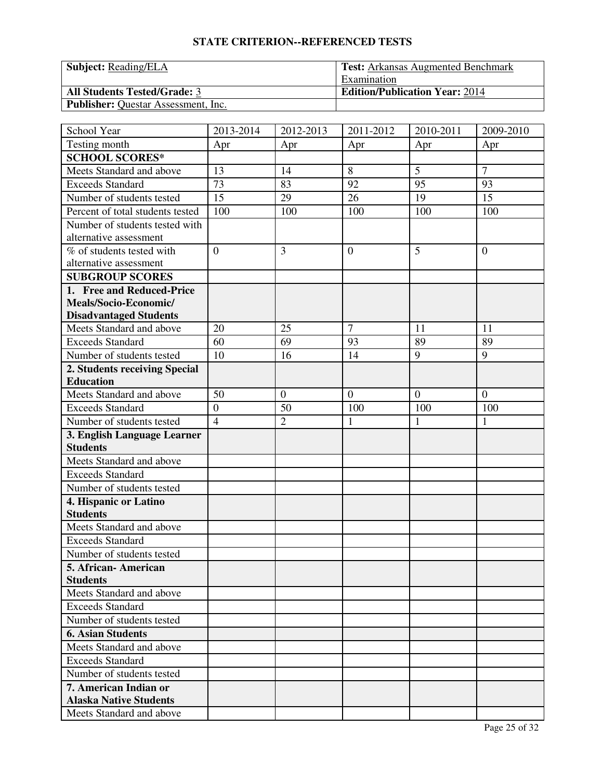| <b>Subject:</b> Reading/ELA                | <b>Test:</b> Arkansas Augmented Benchmark |
|--------------------------------------------|-------------------------------------------|
|                                            | Examination                               |
| <b>All Students Tested/Grade: 3</b>        | <b>Edition/Publication Year: 2014</b>     |
| <b>Publisher:</b> Questar Assessment, Inc. |                                           |

| School Year                      | 2013-2014      | 2012-2013      | 2011-2012      | 2010-2011    | 2009-2010      |
|----------------------------------|----------------|----------------|----------------|--------------|----------------|
| Testing month                    | Apr            | Apr            | Apr            | Apr          | Apr            |
| <b>SCHOOL SCORES*</b>            |                |                |                |              |                |
| Meets Standard and above         | 13             | 14             | 8              | 5            | $\overline{7}$ |
| <b>Exceeds Standard</b>          | 73             | 83             | 92             | 95           | 93             |
| Number of students tested        | 15             | 29             | 26             | 19           | 15             |
| Percent of total students tested | 100            | 100            | 100            | 100          | 100            |
| Number of students tested with   |                |                |                |              |                |
| alternative assessment           |                |                |                |              |                |
| % of students tested with        | $\overline{0}$ | $\overline{3}$ | $\overline{0}$ | 5            | $\overline{0}$ |
| alternative assessment           |                |                |                |              |                |
| <b>SUBGROUP SCORES</b>           |                |                |                |              |                |
| 1. Free and Reduced-Price        |                |                |                |              |                |
| Meals/Socio-Economic/            |                |                |                |              |                |
| <b>Disadvantaged Students</b>    |                |                |                |              |                |
| Meets Standard and above         | 20             | 25             | $\overline{7}$ | 11           | 11             |
| <b>Exceeds Standard</b>          | 60             | 69             | 93             | 89           | 89             |
| Number of students tested        | 10             | 16             | 14             | 9            | 9              |
| 2. Students receiving Special    |                |                |                |              |                |
| <b>Education</b>                 |                |                |                |              |                |
| Meets Standard and above         | 50             | $\theta$       | $\overline{0}$ | $\theta$     | $\theta$       |
| <b>Exceeds Standard</b>          | $\overline{0}$ | 50             | 100            | 100          | 100            |
| Number of students tested        | $\overline{4}$ | $\overline{2}$ | $\mathbf{1}$   | $\mathbf{1}$ | $\mathbf{1}$   |
| 3. English Language Learner      |                |                |                |              |                |
| <b>Students</b>                  |                |                |                |              |                |
| Meets Standard and above         |                |                |                |              |                |
| <b>Exceeds Standard</b>          |                |                |                |              |                |
| Number of students tested        |                |                |                |              |                |
| 4. Hispanic or Latino            |                |                |                |              |                |
| <b>Students</b>                  |                |                |                |              |                |
| Meets Standard and above         |                |                |                |              |                |
| <b>Exceeds Standard</b>          |                |                |                |              |                |
| Number of students tested        |                |                |                |              |                |
| 5. African-American              |                |                |                |              |                |
| <b>Students</b>                  |                |                |                |              |                |
| Meets Standard and above         |                |                |                |              |                |
| <b>Exceeds Standard</b>          |                |                |                |              |                |
| Number of students tested        |                |                |                |              |                |
| <b>6. Asian Students</b>         |                |                |                |              |                |
| Meets Standard and above         |                |                |                |              |                |
| <b>Exceeds Standard</b>          |                |                |                |              |                |
| Number of students tested        |                |                |                |              |                |
| 7. American Indian or            |                |                |                |              |                |
| <b>Alaska Native Students</b>    |                |                |                |              |                |
| Meets Standard and above         |                |                |                |              |                |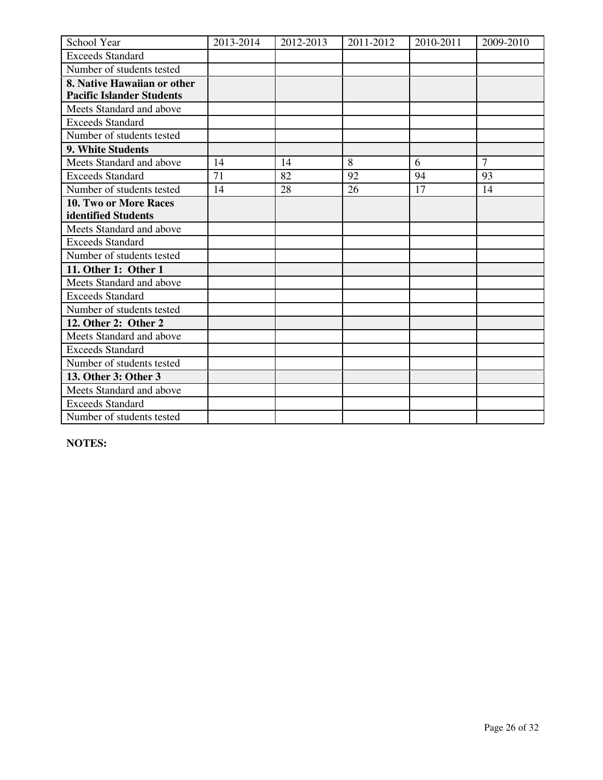| School Year                      | 2013-2014 | 2012-2013 | 2011-2012 | 2010-2011 | 2009-2010      |
|----------------------------------|-----------|-----------|-----------|-----------|----------------|
| <b>Exceeds Standard</b>          |           |           |           |           |                |
| Number of students tested        |           |           |           |           |                |
| 8. Native Hawaiian or other      |           |           |           |           |                |
| <b>Pacific Islander Students</b> |           |           |           |           |                |
| Meets Standard and above         |           |           |           |           |                |
| <b>Exceeds Standard</b>          |           |           |           |           |                |
| Number of students tested        |           |           |           |           |                |
| 9. White Students                |           |           |           |           |                |
| Meets Standard and above         | 14        | 14        | 8         | 6         | $\overline{7}$ |
| <b>Exceeds Standard</b>          | 71        | 82        | 92        | 94        | 93             |
| Number of students tested        | 14        | 28        | 26        | 17        | 14             |
| <b>10. Two or More Races</b>     |           |           |           |           |                |
| identified Students              |           |           |           |           |                |
| Meets Standard and above         |           |           |           |           |                |
| <b>Exceeds Standard</b>          |           |           |           |           |                |
| Number of students tested        |           |           |           |           |                |
| 11. Other 1: Other 1             |           |           |           |           |                |
| Meets Standard and above         |           |           |           |           |                |
| <b>Exceeds Standard</b>          |           |           |           |           |                |
| Number of students tested        |           |           |           |           |                |
| 12. Other 2: Other 2             |           |           |           |           |                |
| Meets Standard and above         |           |           |           |           |                |
| <b>Exceeds Standard</b>          |           |           |           |           |                |
| Number of students tested        |           |           |           |           |                |
| 13. Other 3: Other 3             |           |           |           |           |                |
| Meets Standard and above         |           |           |           |           |                |
| <b>Exceeds Standard</b>          |           |           |           |           |                |
| Number of students tested        |           |           |           |           |                |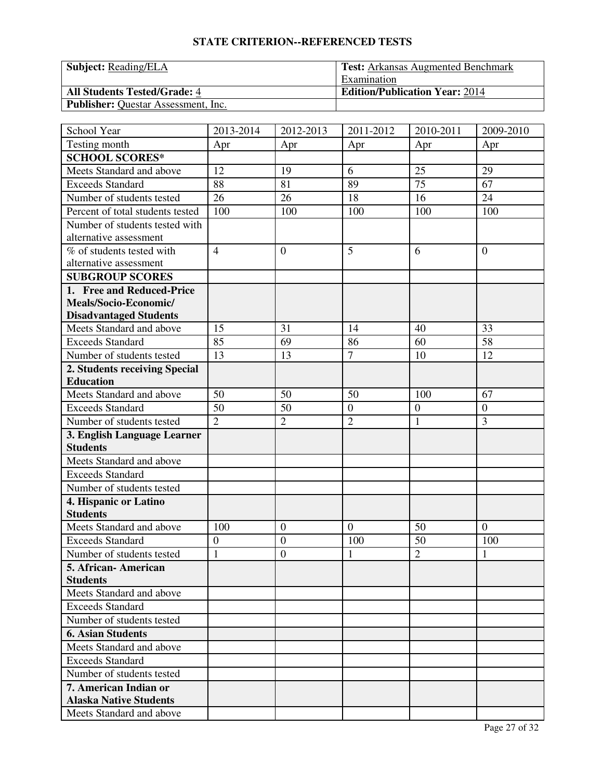| <b>Subject:</b> Reading/ELA                | <b>Test:</b> Arkansas Augmented Benchmark |
|--------------------------------------------|-------------------------------------------|
|                                            | Examination                               |
| <b>All Students Tested/Grade: 4</b>        | <b>Edition/Publication Year: 2014</b>     |
| <b>Publisher:</b> Questar Assessment, Inc. |                                           |

| School Year                      | 2013-2014      | 2012-2013        | 2011-2012      | 2010-2011        | 2009-2010        |
|----------------------------------|----------------|------------------|----------------|------------------|------------------|
| Testing month                    | Apr            | Apr              | Apr            | Apr              | Apr              |
| <b>SCHOOL SCORES*</b>            |                |                  |                |                  |                  |
| Meets Standard and above         | 12             | 19               | 6              | 25               | 29               |
| <b>Exceeds Standard</b>          | 88             | 81               | 89             | $\overline{75}$  | 67               |
| Number of students tested        | 26             | 26               | 18             | 16               | 24               |
| Percent of total students tested | 100            | 100              | 100            | 100              | 100              |
| Number of students tested with   |                |                  |                |                  |                  |
| alternative assessment           |                |                  |                |                  |                  |
| % of students tested with        | $\overline{4}$ | $\theta$         | 5              | 6                | $\mathbf{0}$     |
| alternative assessment           |                |                  |                |                  |                  |
| <b>SUBGROUP SCORES</b>           |                |                  |                |                  |                  |
| 1. Free and Reduced-Price        |                |                  |                |                  |                  |
| Meals/Socio-Economic/            |                |                  |                |                  |                  |
| <b>Disadvantaged Students</b>    |                |                  |                |                  |                  |
| Meets Standard and above         | 15             | 31               | 14             | 40               | 33               |
| <b>Exceeds Standard</b>          | 85             | 69               | 86             | 60               | 58               |
| Number of students tested        | 13             | 13               | $\overline{7}$ | 10               | 12               |
| 2. Students receiving Special    |                |                  |                |                  |                  |
| <b>Education</b>                 |                |                  |                |                  |                  |
| Meets Standard and above         | 50             | 50               | 50             | 100              | 67               |
| <b>Exceeds Standard</b>          | 50             | 50               | $\overline{0}$ | $\boldsymbol{0}$ | $\boldsymbol{0}$ |
| Number of students tested        | $\overline{2}$ | $\overline{2}$   | $\overline{2}$ | $\mathbf{1}$     | 3                |
| 3. English Language Learner      |                |                  |                |                  |                  |
| <b>Students</b>                  |                |                  |                |                  |                  |
| Meets Standard and above         |                |                  |                |                  |                  |
| <b>Exceeds Standard</b>          |                |                  |                |                  |                  |
| Number of students tested        |                |                  |                |                  |                  |
| 4. Hispanic or Latino            |                |                  |                |                  |                  |
| <b>Students</b>                  |                |                  |                |                  |                  |
| Meets Standard and above         | 100            | $\boldsymbol{0}$ | $\overline{0}$ | 50               | $\mathbf{0}$     |
| <b>Exceeds Standard</b>          | $\overline{0}$ | $\overline{0}$   | 100            | 50               | 100              |
| Number of students tested        | $\mathbf{1}$   | $\boldsymbol{0}$ | 1              | $\overline{2}$   | $\mathbf{1}$     |
| 5. African-American              |                |                  |                |                  |                  |
| <b>Students</b>                  |                |                  |                |                  |                  |
| Meets Standard and above         |                |                  |                |                  |                  |
| <b>Exceeds Standard</b>          |                |                  |                |                  |                  |
| Number of students tested        |                |                  |                |                  |                  |
| <b>6. Asian Students</b>         |                |                  |                |                  |                  |
| Meets Standard and above         |                |                  |                |                  |                  |
| <b>Exceeds Standard</b>          |                |                  |                |                  |                  |
| Number of students tested        |                |                  |                |                  |                  |
| 7. American Indian or            |                |                  |                |                  |                  |
| <b>Alaska Native Students</b>    |                |                  |                |                  |                  |
| Meets Standard and above         |                |                  |                |                  |                  |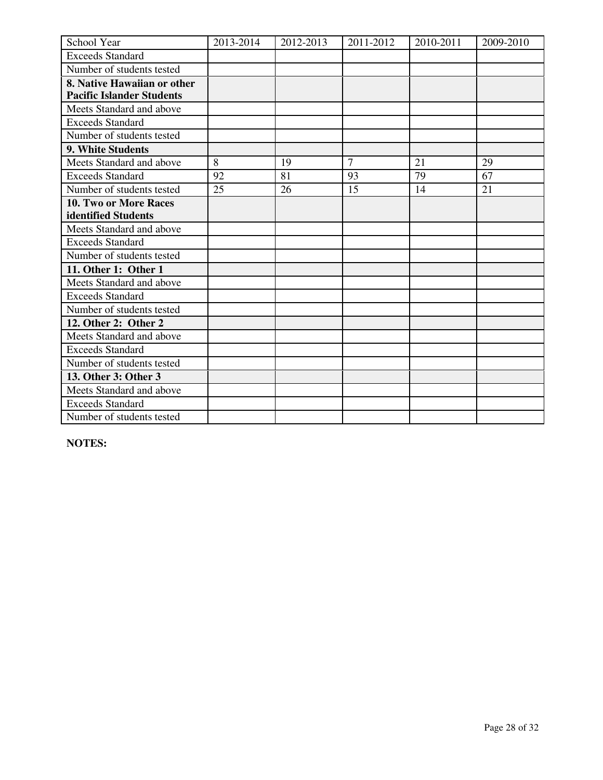| School Year                      | 2013-2014 | 2012-2013 | 2011-2012      | 2010-2011 | 2009-2010 |
|----------------------------------|-----------|-----------|----------------|-----------|-----------|
| <b>Exceeds Standard</b>          |           |           |                |           |           |
| Number of students tested        |           |           |                |           |           |
| 8. Native Hawaiian or other      |           |           |                |           |           |
| <b>Pacific Islander Students</b> |           |           |                |           |           |
| Meets Standard and above         |           |           |                |           |           |
| <b>Exceeds Standard</b>          |           |           |                |           |           |
| Number of students tested        |           |           |                |           |           |
| 9. White Students                |           |           |                |           |           |
| Meets Standard and above         | 8         | 19        | $\overline{7}$ | 21        | 29        |
| <b>Exceeds Standard</b>          | 92        | 81        | 93             | 79        | 67        |
| Number of students tested        | 25        | 26        | 15             | 14        | 21        |
| 10. Two or More Races            |           |           |                |           |           |
| identified Students              |           |           |                |           |           |
| Meets Standard and above         |           |           |                |           |           |
| <b>Exceeds Standard</b>          |           |           |                |           |           |
| Number of students tested        |           |           |                |           |           |
| 11. Other 1: Other 1             |           |           |                |           |           |
| Meets Standard and above         |           |           |                |           |           |
| <b>Exceeds Standard</b>          |           |           |                |           |           |
| Number of students tested        |           |           |                |           |           |
| 12. Other 2: Other 2             |           |           |                |           |           |
| Meets Standard and above         |           |           |                |           |           |
| <b>Exceeds Standard</b>          |           |           |                |           |           |
| Number of students tested        |           |           |                |           |           |
| 13. Other 3: Other 3             |           |           |                |           |           |
| Meets Standard and above         |           |           |                |           |           |
| <b>Exceeds Standard</b>          |           |           |                |           |           |
| Number of students tested        |           |           |                |           |           |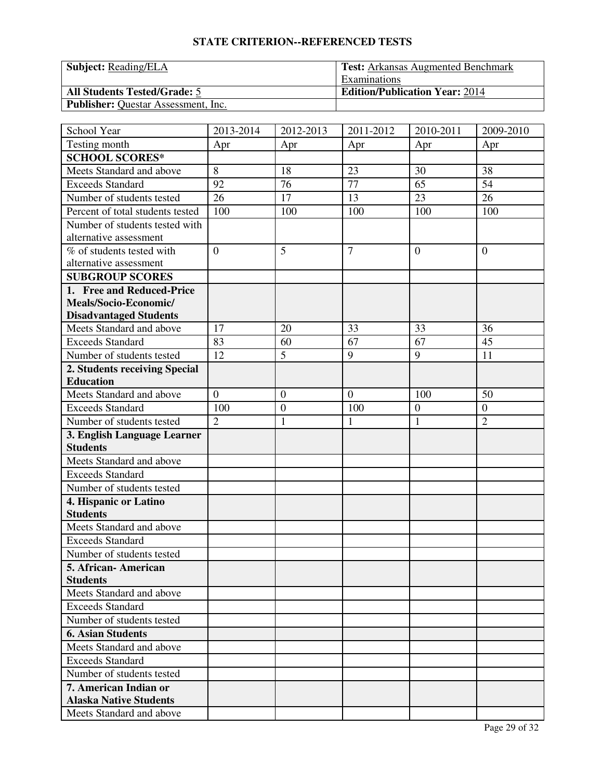| <b>Subject:</b> Reading/ELA                | <b>Test:</b> Arkansas Augmented Benchmark |  |  |
|--------------------------------------------|-------------------------------------------|--|--|
|                                            | Examinations                              |  |  |
| <b>All Students Tested/Grade: 5</b>        | <b>Edition/Publication Year: 2014</b>     |  |  |
| <b>Publisher:</b> Questar Assessment, Inc. |                                           |  |  |

| School Year                                            | 2013-2014      | 2012-2013        | 2011-2012      | 2010-2011        | 2009-2010        |
|--------------------------------------------------------|----------------|------------------|----------------|------------------|------------------|
| Testing month                                          | Apr            | Apr              | Apr            | Apr              | Apr              |
| <b>SCHOOL SCORES*</b>                                  |                |                  |                |                  |                  |
| Meets Standard and above                               | 8              | 18               | 23             | 30               | 38               |
| <b>Exceeds Standard</b>                                | 92             | 76               | 77             | 65               | 54               |
| Number of students tested                              | 26             | 17               | 13             | 23               | 26               |
| Percent of total students tested                       | 100            | 100              | 100            | 100              | 100              |
| Number of students tested with                         |                |                  |                |                  |                  |
| alternative assessment                                 |                |                  |                |                  |                  |
| % of students tested with                              | $\overline{0}$ | 5                | $\overline{7}$ | $\overline{0}$   | $\mathbf{0}$     |
| alternative assessment                                 |                |                  |                |                  |                  |
| <b>SUBGROUP SCORES</b>                                 |                |                  |                |                  |                  |
| 1. Free and Reduced-Price                              |                |                  |                |                  |                  |
| Meals/Socio-Economic/                                  |                |                  |                |                  |                  |
| <b>Disadvantaged Students</b>                          |                |                  |                |                  |                  |
| Meets Standard and above                               | 17             | 20               | 33             | 33               | 36               |
| <b>Exceeds Standard</b>                                | 83             | 60               | 67             | 67               | 45               |
| Number of students tested                              | 12             | 5                | 9              | 9                | 11               |
| 2. Students receiving Special                          |                |                  |                |                  |                  |
| <b>Education</b>                                       |                |                  |                |                  |                  |
| Meets Standard and above                               | $\overline{0}$ | $\boldsymbol{0}$ | $\overline{0}$ | 100              | 50               |
| <b>Exceeds Standard</b>                                | 100            | $\boldsymbol{0}$ | 100            | $\boldsymbol{0}$ | $\boldsymbol{0}$ |
| Number of students tested                              | $\overline{2}$ | $\mathbf{1}$     | $\mathbf{1}$   | $\mathbf{1}$     | $\overline{2}$   |
| 3. English Language Learner                            |                |                  |                |                  |                  |
| <b>Students</b>                                        |                |                  |                |                  |                  |
| Meets Standard and above                               |                |                  |                |                  |                  |
| <b>Exceeds Standard</b>                                |                |                  |                |                  |                  |
| Number of students tested                              |                |                  |                |                  |                  |
| 4. Hispanic or Latino                                  |                |                  |                |                  |                  |
| <b>Students</b>                                        |                |                  |                |                  |                  |
| Meets Standard and above                               |                |                  |                |                  |                  |
| <b>Exceeds Standard</b>                                |                |                  |                |                  |                  |
| Number of students tested                              |                |                  |                |                  |                  |
| 5. African-American                                    |                |                  |                |                  |                  |
| <b>Students</b>                                        |                |                  |                |                  |                  |
| Meets Standard and above                               |                |                  |                |                  |                  |
| <b>Exceeds Standard</b>                                |                |                  |                |                  |                  |
| Number of students tested                              |                |                  |                |                  |                  |
| <b>6. Asian Students</b>                               |                |                  |                |                  |                  |
| Meets Standard and above                               |                |                  |                |                  |                  |
| <b>Exceeds Standard</b>                                |                |                  |                |                  |                  |
| Number of students tested                              |                |                  |                |                  |                  |
| 7. American Indian or<br><b>Alaska Native Students</b> |                |                  |                |                  |                  |
| Meets Standard and above                               |                |                  |                |                  |                  |
|                                                        |                |                  |                |                  |                  |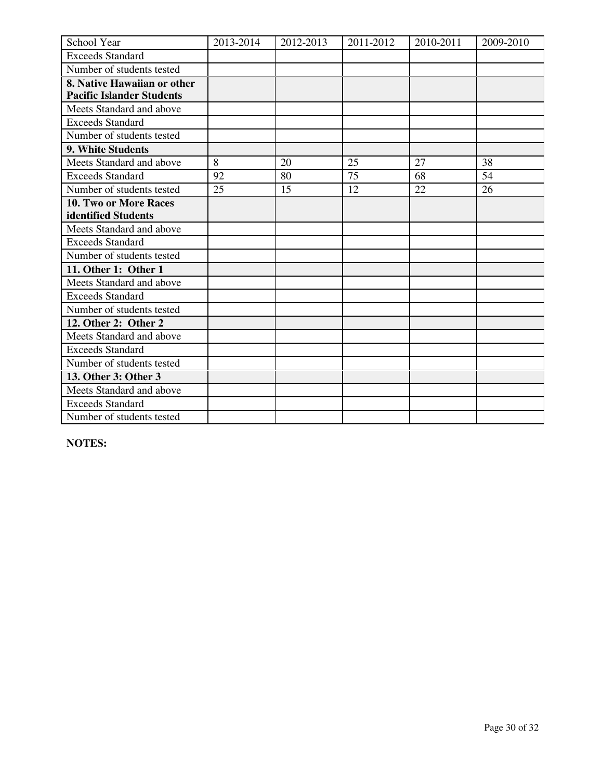| School Year                      | 2013-2014 | 2012-2013 | 2011-2012 | 2010-2011 | 2009-2010 |
|----------------------------------|-----------|-----------|-----------|-----------|-----------|
| <b>Exceeds Standard</b>          |           |           |           |           |           |
| Number of students tested        |           |           |           |           |           |
| 8. Native Hawaiian or other      |           |           |           |           |           |
| <b>Pacific Islander Students</b> |           |           |           |           |           |
| Meets Standard and above         |           |           |           |           |           |
| <b>Exceeds Standard</b>          |           |           |           |           |           |
| Number of students tested        |           |           |           |           |           |
| 9. White Students                |           |           |           |           |           |
| Meets Standard and above         | 8         | 20        | 25        | 27        | 38        |
| <b>Exceeds Standard</b>          | 92        | 80        | 75        | 68        | 54        |
| Number of students tested        | 25        | 15        | 12        | 22        | 26        |
| <b>10. Two or More Races</b>     |           |           |           |           |           |
| identified Students              |           |           |           |           |           |
| Meets Standard and above         |           |           |           |           |           |
| <b>Exceeds Standard</b>          |           |           |           |           |           |
| Number of students tested        |           |           |           |           |           |
| 11. Other 1: Other 1             |           |           |           |           |           |
| Meets Standard and above         |           |           |           |           |           |
| <b>Exceeds Standard</b>          |           |           |           |           |           |
| Number of students tested        |           |           |           |           |           |
| 12. Other 2: Other 2             |           |           |           |           |           |
| Meets Standard and above         |           |           |           |           |           |
| <b>Exceeds Standard</b>          |           |           |           |           |           |
| Number of students tested        |           |           |           |           |           |
| 13. Other 3: Other 3             |           |           |           |           |           |
| Meets Standard and above         |           |           |           |           |           |
| <b>Exceeds Standard</b>          |           |           |           |           |           |
| Number of students tested        |           |           |           |           |           |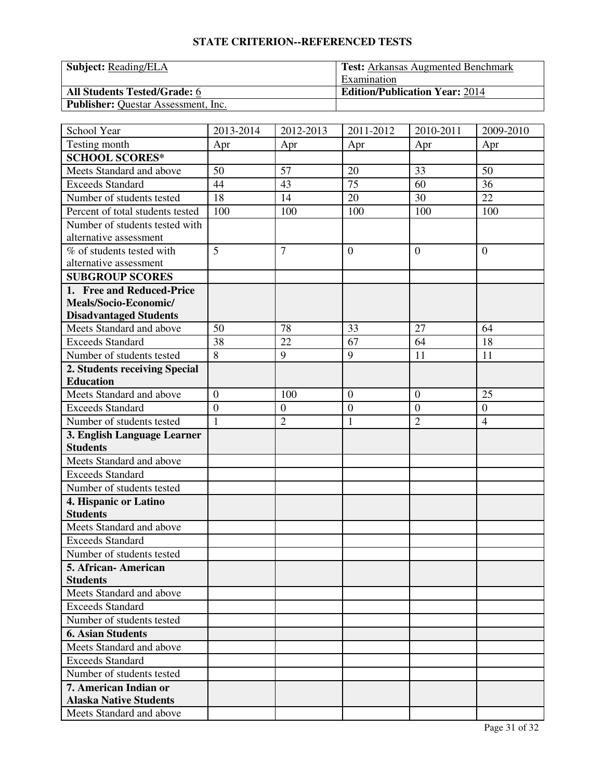| <b>Subject:</b> Reading/ELA                | <b>Test:</b> Arkansas Augmented Benchmark |  |  |
|--------------------------------------------|-------------------------------------------|--|--|
|                                            | Examination                               |  |  |
| <b>All Students Tested/Grade: 6</b>        | <b>Edition/Publication Year: 2014</b>     |  |  |
| <b>Publisher:</b> Questar Assessment, Inc. |                                           |  |  |

| School Year                      | 2013-2014      | 2012-2013        | 2011-2012        | 2010-2011        | 2009-2010        |
|----------------------------------|----------------|------------------|------------------|------------------|------------------|
| Testing month                    | Apr            | Apr              | Apr              | Apr              | Apr              |
| <b>SCHOOL SCORES*</b>            |                |                  |                  |                  |                  |
| Meets Standard and above         | 50             | 57               | 20               | 33               | 50               |
| <b>Exceeds Standard</b>          | 44             | 43               | 75               | 60               | 36               |
| Number of students tested        | 18             | 14               | 20               | 30               | 22               |
| Percent of total students tested | 100            | 100              | 100              | 100              | 100              |
| Number of students tested with   |                |                  |                  |                  |                  |
| alternative assessment           |                |                  |                  |                  |                  |
| % of students tested with        | 5              | $\overline{7}$   | $\overline{0}$   | $\theta$         | $\overline{0}$   |
| alternative assessment           |                |                  |                  |                  |                  |
| <b>SUBGROUP SCORES</b>           |                |                  |                  |                  |                  |
| 1. Free and Reduced-Price        |                |                  |                  |                  |                  |
| Meals/Socio-Economic/            |                |                  |                  |                  |                  |
| <b>Disadvantaged Students</b>    |                |                  |                  |                  |                  |
| Meets Standard and above         | 50             | 78               | 33               | 27               | 64               |
| <b>Exceeds Standard</b>          | 38             | 22               | 67               | 64               | 18               |
| Number of students tested        | $\overline{8}$ | 9                | 9                | 11               | 11               |
| 2. Students receiving Special    |                |                  |                  |                  |                  |
| <b>Education</b>                 |                |                  |                  |                  |                  |
| Meets Standard and above         | $\overline{0}$ | 100              | $\mathbf{0}$     | $\overline{0}$   | 25               |
| <b>Exceeds Standard</b>          | $\overline{0}$ | $\boldsymbol{0}$ | $\boldsymbol{0}$ | $\boldsymbol{0}$ | $\boldsymbol{0}$ |
| Number of students tested        | $\mathbf{1}$   | $\overline{2}$   | $\mathbf{1}$     | $\overline{2}$   | $\overline{4}$   |
| 3. English Language Learner      |                |                  |                  |                  |                  |
| <b>Students</b>                  |                |                  |                  |                  |                  |
| Meets Standard and above         |                |                  |                  |                  |                  |
| <b>Exceeds Standard</b>          |                |                  |                  |                  |                  |
| Number of students tested        |                |                  |                  |                  |                  |
| 4. Hispanic or Latino            |                |                  |                  |                  |                  |
| <b>Students</b>                  |                |                  |                  |                  |                  |
| Meets Standard and above         |                |                  |                  |                  |                  |
| <b>Exceeds Standard</b>          |                |                  |                  |                  |                  |
| Number of students tested        |                |                  |                  |                  |                  |
| 5. African-American              |                |                  |                  |                  |                  |
| <b>Students</b>                  |                |                  |                  |                  |                  |
| Meets Standard and above         |                |                  |                  |                  |                  |
| <b>Exceeds Standard</b>          |                |                  |                  |                  |                  |
| Number of students tested        |                |                  |                  |                  |                  |
| <b>6. Asian Students</b>         |                |                  |                  |                  |                  |
| Meets Standard and above         |                |                  |                  |                  |                  |
| <b>Exceeds Standard</b>          |                |                  |                  |                  |                  |
| Number of students tested        |                |                  |                  |                  |                  |
| 7. American Indian or            |                |                  |                  |                  |                  |
| <b>Alaska Native Students</b>    |                |                  |                  |                  |                  |
| Meets Standard and above         |                |                  |                  |                  |                  |